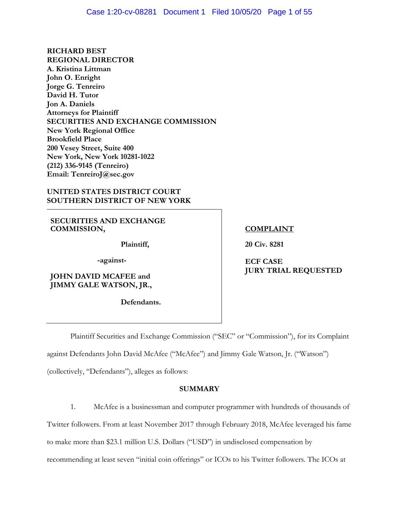**RICHARD BEST REGIONAL DIRECTOR A. Kristina Littman John O. Enright Jorge G. Tenreiro David H. Tutor Jon A. Daniels Attorneys for Plaintiff SECURITIES AND EXCHANGE COMMISSION New York Regional Office Brookfield Place 200 Vesey Street, Suite 400 New York, New York 10281-1022 (212) 336-9145 (Tenreiro) Email: TenreiroJ@sec.gov** 

### **UNITED STATES DISTRICT COURT SOUTHERN DISTRICT OF NEW YORK**

**SECURITIES AND EXCHANGE COMMISSION,** 

**Plaintiff,**

 **-against-**

**JOHN DAVID MCAFEE and JIMMY GALE WATSON, JR.,** 

 **Defendants.** 

### **COMPLAINT**

**20 Civ. 8281** 

**ECF CASE JURY TRIAL REQUESTED** 

Plaintiff Securities and Exchange Commission ("SEC" or "Commission"), for its Complaint

against Defendants John David McAfee ("McAfee") and Jimmy Gale Watson, Jr. ("Watson")

(collectively, "Defendants"), alleges as follows:

## **SUMMARY**

1. McAfee is a businessman and computer programmer with hundreds of thousands of

Twitter followers. From at least November 2017 through February 2018, McAfee leveraged his fame

to make more than \$23.1 million U.S. Dollars ("USD") in undisclosed compensation by

recommending at least seven "initial coin offerings" or ICOs to his Twitter followers. The ICOs at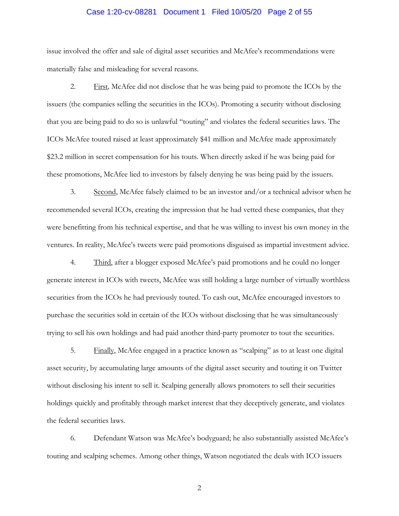# Case 1:20-cv-08281 Document 1 Filed 10/05/20 Page 2 of 55

issue involved the offer and sale of digital asset securities and McAfee's recommendations were materially false and misleading for several reasons.

2. First*,* McAfee did not disclose that he was being paid to promote the ICOs by the issuers (the companies selling the securities in the ICOs). Promoting a security without disclosing that you are being paid to do so is unlawful "touting" and violates the federal securities laws. The ICOs McAfee touted raised at least approximately \$41 million and McAfee made approximately \$23.2 million in secret compensation for his touts. When directly asked if he was being paid for these promotions, McAfee lied to investors by falsely denying he was being paid by the issuers.

ventures. In reality, McAfee's tweets were paid promotions disguised as impartial investment advice.<br>4. Third, after a blogger exposed McAfee's paid promotions and he could no longer 3. Second, McAfee falsely claimed to be an investor and/or a technical advisor when he recommended several ICOs, creating the impression that he had vetted these companies, that they were benefitting from his technical expertise, and that he was willing to invest his own money in the

generate interest in ICOs with tweets, McAfee was still holding a large number of virtually worthless securities from the ICOs he had previously touted. To cash out, McAfee encouraged investors to purchase the securities sold in certain of the ICOs without disclosing that he was simultaneously trying to sell his own holdings and had paid another third-party promoter to tout the securities.

5. Finally, McAfee engaged in a practice known as "scalping" as to at least one digital asset security, by accumulating large amounts of the digital asset security and touting it on Twitter without disclosing his intent to sell it. Scalping generally allows promoters to sell their securities holdings quickly and profitably through market interest that they deceptively generate, and violates the federal securities laws.

6. Defendant Watson was McAfee's bodyguard; he also substantially assisted McAfee's touting and scalping schemes. Among other things, Watson negotiated the deals with ICO issuers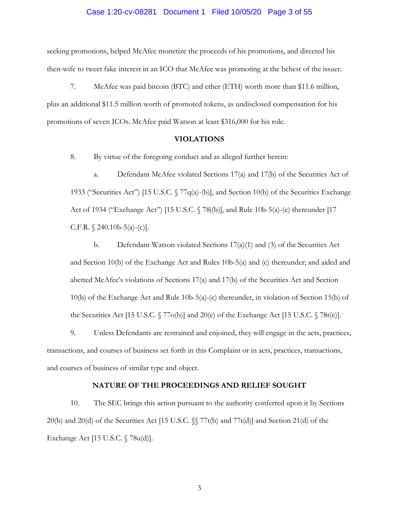#### Case 1:20-cv-08281 Document 1 Filed 10/05/20 Page 3 of 55

seeking promotions, helped McAfee monetize the proceeds of his promotions, and directed his then-wife to tweet fake interest in an ICO that McAfee was promoting at the behest of the issuer.

7. McAfee was paid bitcoin (BTC) and ether (ETH) worth more than \$11.6 million, plus an additional \$11.5 million worth of promoted tokens, as undisclosed compensation for his promotions of seven ICOs. McAfee paid Watson at least \$316,000 for his role.

#### **VIOLATIONS**

8. By virtue of the foregoing conduct and as alleged further herein:

a. Defendant McAfee violated Sections 17(a) and 17(b) of the Securities Act of 1933 ("Securities Act") [15 U.S.C.  $\sqrt{7q(a)}$ -(b)], and Section 10(b) of the Securities Exchange Act of 1934 ("Exchange Act") [15 U.S.C. § 78j(b)], and Rule 10b-5(a)-(c) thereunder [17 C.F.R.  $\{$  240.10b-5(a)-(c)].

b. Defendant Watson violated Sections 17(a)(1) and (3) of the Securities Act and Section 10(b) of the Exchange Act and Rules 10b-5(a) and (c) thereunder; and aided and abetted McAfee's violations of Sections 17(a) and 17(b) of the Securities Act and Section 10(b) of the Exchange Act and Rule 10b-5(a)-(c) thereunder, in violation of Section 15(b) of the Securities Act [15 U.S.C. § 77o(b)] and 20(e) of the Exchange Act [15 U.S.C. § 78t(e)].

9. Unless Defendants are restrained and enjoined, they will engage in the acts, practices, transactions, and courses of business set forth in this Complaint or in acts, practices, transactions, and courses of business of similar type and object.

#### **NATURE OF THE PROCEEDINGS AND RELIEF SOUGHT**

10. The SEC brings this action pursuant to the authority conferred upon it by Sections 20(b) and 20(d) of the Securities Act [15 U.S.C. §§ 77t(b) and 77t(d)] and Section 21(d) of the Exchange Act [15 U.S.C. § 78u(d)].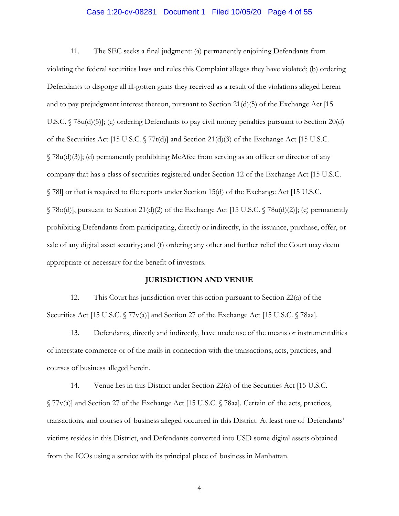#### Case 1:20-cv-08281 Document 1 Filed 10/05/20 Page 4 of 55

11. The SEC seeks a final judgment: (a) permanently enjoining Defendants from violating the federal securities laws and rules this Complaint alleges they have violated; (b) ordering Defendants to disgorge all ill-gotten gains they received as a result of the violations alleged herein and to pay prejudgment interest thereon, pursuant to Section 21(d)(5) of the Exchange Act [15 U.S.C. § 78u(d)(5)]; (c) ordering Defendants to pay civil money penalties pursuant to Section 20(d) of the Securities Act [15 U.S.C. § 77t(d)] and Section 21(d)(3) of the Exchange Act [15 U.S.C. § 78u(d)(3)]; (d) permanently prohibiting McAfee from serving as an officer or director of any company that has a class of securities registered under Section 12 of the Exchange Act [15 U.S.C. § 78l] or that is required to file reports under Section 15(d) of the Exchange Act [15 U.S.C.  $\Im$  78o(d)], pursuant to Section 21(d)(2) of the Exchange Act [15 U.S.C.  $\Im$  78u(d)(2)]; (e) permanently prohibiting Defendants from participating, directly or indirectly, in the issuance, purchase, offer, or sale of any digital asset security; and (f) ordering any other and further relief the Court may deem appropriate or necessary for the benefit of investors.

#### **JURISDICTION AND VENUE**

12. This Court has jurisdiction over this action pursuant to Section 22(a) of the Securities Act [15 U.S.C. § 77v(a)] and Section 27 of the Exchange Act [15 U.S.C. § 78aa].

13. Defendants, directly and indirectly, have made use of the means or instrumentalities of interstate commerce or of the mails in connection with the transactions, acts, practices, and courses of business alleged herein.

14. Venue lies in this District under Section 22(a) of the Securities Act [15 U.S.C. § 77v(a)] and Section 27 of the Exchange Act [15 U.S.C. § 78aa]. Certain of the acts, practices, transactions, and courses of business alleged occurred in this District. At least one of Defendants' victims resides in this District, and Defendants converted into USD some digital assets obtained from the ICOs using a service with its principal place of business in Manhattan.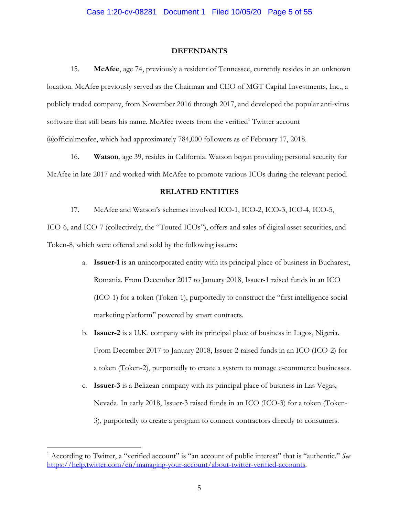#### **DEFENDANTS**

15. **McAfee**, age 74, previously a resident of Tennessee, currently resides in an unknown location. McAfee previously served as the Chairman and CEO of MGT Capital Investments, Inc., a publicly traded company, from November 2016 through 2017, and developed the popular anti-virus software that still bears his name. McAfee tweets from the verified<sup>1</sup> Twitter account @officialmcafee, which had approximately 784,000 followers as of February 17, 2018.

16. **Watson**, age 39, resides in California. Watson began providing personal security for McAfee in late 2017 and worked with McAfee to promote various ICOs during the relevant period.

#### **RELATED ENTITIES**

17. McAfee and Watson's schemes involved ICO-1, ICO-2, ICO-3, ICO-4, ICO-5,

ICO-6, and ICO-7 (collectively, the "Touted ICOs"), offers and sales of digital asset securities, and Token-8, which were offered and sold by the following issuers:

- a. **Issuer-1** is an unincorporated entity with its principal place of business in Bucharest, Romania. From December 2017 to January 2018, Issuer-1 raised funds in an ICO (ICO-1) for a token (Token-1), purportedly to construct the "first intelligence social marketing platform" powered by smart contracts.
- b. **Issuer-2** is a U.K. company with its principal place of business in Lagos, Nigeria. From December 2017 to January 2018, Issuer-2 raised funds in an ICO (ICO-2) for a token (Token-2), purportedly to create a system to manage e-commerce businesses.
- c. **Issuer-3** is a Belizean company with its principal place of business in Las Vegas, Nevada. In early 2018, Issuer-3 raised funds in an ICO (ICO-3) for a token (Token-3), purportedly to create a program to connect contractors directly to consumers.

<u>.</u>

<sup>&</sup>lt;sup>1</sup> According to Twitter, a "verified account" is "an account of public interest" that is "authentic." See https://help.twitter.com/en/managing-your-account/about-twitter-verified-accounts*.*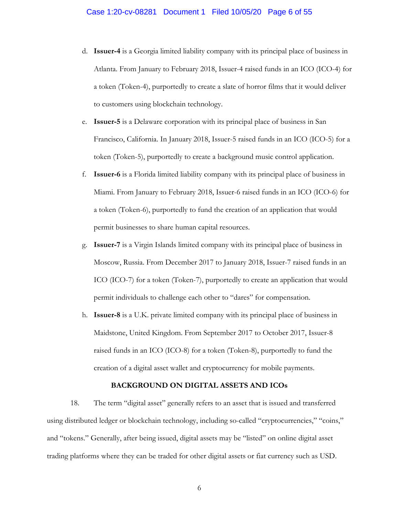- d. **Issuer-4** is a Georgia limited liability company with its principal place of business in Atlanta. From January to February 2018, Issuer-4 raised funds in an ICO (ICO-4) for a token (Token-4), purportedly to create a slate of horror films that it would deliver to customers using blockchain technology.
- e. **Issuer-5** is a Delaware corporation with its principal place of business in San Francisco, California. In January 2018, Issuer-5 raised funds in an ICO (ICO-5) for a token (Token-5), purportedly to create a background music control application.
- f. **Issuer-6** is a Florida limited liability company with its principal place of business in Miami. From January to February 2018, Issuer-6 raised funds in an ICO (ICO-6) for a token (Token-6), purportedly to fund the creation of an application that would permit businesses to share human capital resources.
- g. **Issuer-7** is a Virgin Islands limited company with its principal place of business in Moscow, Russia. From December 2017 to January 2018, Issuer-7 raised funds in an ICO (ICO-7) for a token (Token-7), purportedly to create an application that would permit individuals to challenge each other to "dares" for compensation.
- h. **Issuer-8** is a U.K. private limited company with its principal place of business in Maidstone, United Kingdom. From September 2017 to October 2017, Issuer-8 raised funds in an ICO (ICO-8) for a token (Token-8), purportedly to fund the creation of a digital asset wallet and cryptocurrency for mobile payments.

#### **BACKGROUND ON DIGITAL ASSETS AND ICOs**

18. The term "digital asset" generally refers to an asset that is issued and transferred using distributed ledger or blockchain technology, including so-called "cryptocurrencies," "coins," and "tokens." Generally, after being issued, digital assets may be "listed" on online digital asset trading platforms where they can be traded for other digital assets or fiat currency such as USD.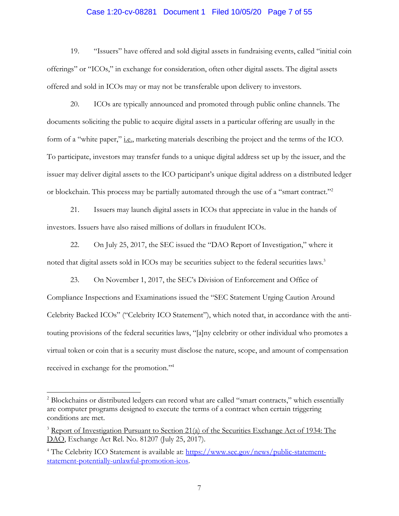### Case 1:20-cv-08281 Document 1 Filed 10/05/20 Page 7 of 55

19. "Issuers" have offered and sold digital assets in fundraising events, called "initial coin offerings" or "ICOs," in exchange for consideration, often other digital assets. The digital assets offered and sold in ICOs may or may not be transferable upon delivery to investors.

20. ICOs are typically announced and promoted through public online channels. The documents soliciting the public to acquire digital assets in a particular offering are usually in the form of a "white paper," i.e., marketing materials describing the project and the terms of the ICO. To participate, investors may transfer funds to a unique digital address set up by the issuer, and the issuer may deliver digital assets to the ICO participant's unique digital address on a distributed ledger or blockchain. This process may be partially automated through the use of a "smart contract."2

21. Issuers may launch digital assets in ICOs that appreciate in value in the hands of investors. Issuers have also raised millions of dollars in fraudulent ICOs.

22. On July 25, 2017, the SEC issued the "DAO Report of Investigation," where it noted that digital assets sold in ICOs may be securities subject to the federal securities laws.<sup>3</sup>

23. On November 1, 2017, the SEC's Division of Enforcement and Office of Compliance Inspections and Examinations issued the "SEC Statement Urging Caution Around Celebrity Backed ICOs" ("Celebrity ICO Statement"), which noted that, in accordance with the antitouting provisions of the federal securities laws, "[a]ny celebrity or other individual who promotes a virtual token or coin that is a security must disclose the nature, scope, and amount of compensation received in exchange for the promotion."4

<u>.</u>

<sup>&</sup>lt;sup>2</sup> Blockchains or distributed ledgers can record what are called "smart contracts," which essentially are computer programs designed to execute the terms of a contract when certain triggering conditions are met.

<sup>&</sup>lt;sup>3</sup> Report of Investigation Pursuant to Section 21(a) of the Securities Exchange Act of 1934: The DAO, Exchange Act Rel. No. 81207 (July 25, 2017).

<sup>&</sup>lt;sup>4</sup> The Celebrity ICO Statement is available at: https://www.sec.gov/news/public-statementstatement-potentially-unlawful-promotion-icos.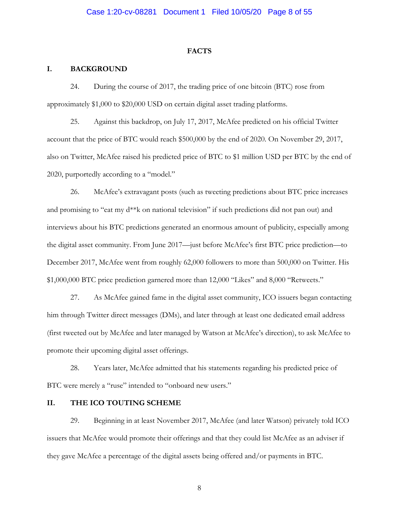#### **FACTS**

#### **I. BACKGROUND**

24. During the course of 2017, the trading price of one bitcoin (BTC) rose from approximately \$1,000 to \$20,000 USD on certain digital asset trading platforms.

25. Against this backdrop, on July 17, 2017, McAfee predicted on his official Twitter account that the price of BTC would reach \$500,000 by the end of 2020. On November 29, 2017, also on Twitter, McAfee raised his predicted price of BTC to \$1 million USD per BTC by the end of 2020, purportedly according to a "model."

26. McAfee's extravagant posts (such as tweeting predictions about BTC price increases and promising to "eat my d\*\*k on national television" if such predictions did not pan out) and interviews about his BTC predictions generated an enormous amount of publicity, especially among the digital asset community. From June 2017—just before McAfee's first BTC price prediction—to December 2017, McAfee went from roughly 62,000 followers to more than 500,000 on Twitter. His \$1,000,000 BTC price prediction garnered more than 12,000 "Likes" and 8,000 "Retweets."

27. As McAfee gained fame in the digital asset community, ICO issuers began contacting him through Twitter direct messages (DMs), and later through at least one dedicated email address (first tweeted out by McAfee and later managed by Watson at McAfee's direction), to ask McAfee to promote their upcoming digital asset offerings.

28. Years later, McAfee admitted that his statements regarding his predicted price of BTC were merely a "ruse" intended to "onboard new users."

### **II. THE ICO TOUTING SCHEME**

29. Beginning in at least November 2017, McAfee (and later Watson) privately told ICO issuers that McAfee would promote their offerings and that they could list McAfee as an adviser if they gave McAfee a percentage of the digital assets being offered and/or payments in BTC.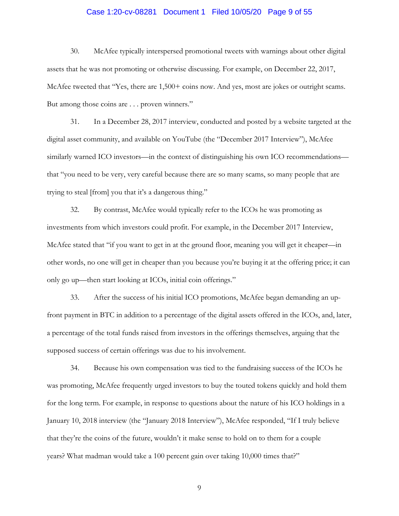# Case 1:20-cv-08281 Document 1 Filed 10/05/20 Page 9 of 55

30. McAfee typically interspersed promotional tweets with warnings about other digital assets that he was not promoting or otherwise discussing. For example, on December 22, 2017, McAfee tweeted that "Yes, there are  $1,500+$  coins now. And yes, most are jokes or outright scams. But among those coins are . . . proven winners."

31. In a December 28, 2017 interview, conducted and posted by a website targeted at the digital asset community, and available on YouTube (the "December 2017 Interview"), McAfee similarly warned ICO investors—in the context of distinguishing his own ICO recommendations that "you need to be very, very careful because there are so many scams, so many people that are trying to steal [from] you that it's a dangerous thing."

32. By contrast, McAfee would typically refer to the ICOs he was promoting as investments from which investors could profit. For example, in the December 2017 Interview, McAfee stated that "if you want to get in at the ground floor, meaning you will get it cheaper—in other words, no one will get in cheaper than you because you're buying it at the offering price; it can only go up—then start looking at ICOs, initial coin offerings."

33. After the success of his initial ICO promotions, McAfee began demanding an upfront payment in BTC in addition to a percentage of the digital assets offered in the ICOs, and, later, a percentage of the total funds raised from investors in the offerings themselves, arguing that the supposed success of certain offerings was due to his involvement.

34. Because his own compensation was tied to the fundraising success of the ICOs he was promoting, McAfee frequently urged investors to buy the touted tokens quickly and hold them for the long term. For example, in response to questions about the nature of his ICO holdings in a January 10, 2018 interview (the "January 2018 Interview"), McAfee responded, "If I truly believe that they're the coins of the future, wouldn't it make sense to hold on to them for a couple years? What madman would take a 100 percent gain over taking 10,000 times that?"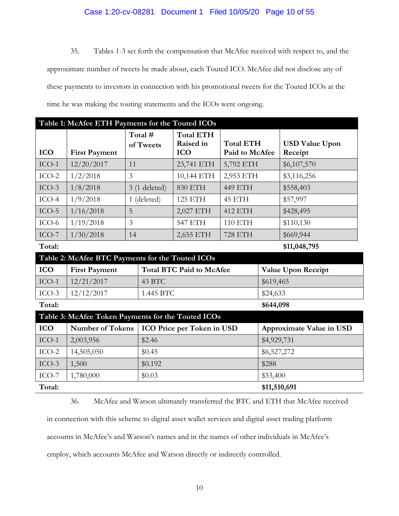### Case 1:20-cv-08281 Document 1 Filed 10/05/20 Page 10 of 55

35. Tables 1-3 set forth the compensation that McAfee received with respect to, and the approximate number of tweets he made about, each Touted ICO. McAfee did not disclose any of these payments to investors in connection with his promotional tweets for the Touted ICOs at the time he was making the touting statements and the ICOs were ongoing.

| Table 1: McAfee ETH Payments for the Touted ICOs   |                         |                |                                 |                  |              |                          |  |
|----------------------------------------------------|-------------------------|----------------|---------------------------------|------------------|--------------|--------------------------|--|
|                                                    |                         | Total #        | <b>Total ETH</b><br>Raised in   | <b>Total ETH</b> |              | <b>USD Value Upon</b>    |  |
| <b>ICO</b>                                         | <b>First Payment</b>    | of Tweets      | <b>ICO</b>                      | Paid to McAfee   |              | Receipt                  |  |
| $ICO-1$                                            | 12/20/2017              | 11             | 23,741 ETH                      | 5,792 ETH        |              | \$6,107,570              |  |
| $ICO-2$                                            | 1/2/2018                | $\overline{3}$ | 10,144 ETH                      | 2,953 ETH        |              | \$3,116,256              |  |
| $ICO-3$                                            | 1/8/2018                | $3(1$ deleted) | <b>830 ETH</b>                  | 449 ETH          |              | \$558,403                |  |
| $ICO-4$                                            | 1/9/2018                | 1 (deleted)    | <b>125 ETH</b>                  | 45 ETH           |              | \$57,997                 |  |
| $ICO-5$                                            | 1/16/2018               | 5              | 2,027 ETH                       | 412 ETH          |              | \$428,495                |  |
| $ICO-6$                                            | 1/19/2018               | $\overline{3}$ | <b>547 ETH</b>                  | 110 ETH          |              | \$110,130                |  |
| $ICO-7$                                            | 1/30/2018               | 14             | 2,655 ETH                       | <b>728 ETH</b>   |              | \$669,944                |  |
| Total:                                             |                         |                |                                 |                  |              | \$11,048,795             |  |
| Table 2: McAfee BTC Payments for the Touted ICOs   |                         |                |                                 |                  |              |                          |  |
| <b>ICO</b>                                         | <b>First Payment</b>    |                | <b>Total BTC Paid to McAfee</b> |                  |              | Value Upon Receipt       |  |
| $ICO-1$                                            | 12/21/2017              | 43 BTC         |                                 |                  |              | \$619,465                |  |
| $ICO-3$                                            | 12/12/2017              |                | 1.445 BTC                       |                  | \$24,633     |                          |  |
| Total:                                             |                         |                |                                 |                  | \$644,098    |                          |  |
| Table 3: McAfee Token Payments for the Touted ICOs |                         |                |                                 |                  |              |                          |  |
| <b>ICO</b>                                         | <b>Number of Tokens</b> |                | ICO Price per Token in USD      |                  |              | Approximate Value in USD |  |
| $ICO-1$                                            | 2,003,956               | \$2.46         |                                 |                  | \$4,929,731  |                          |  |
| $ICO-2$                                            | 14,505,050              | \$0.45         |                                 | \$6,527,272      |              |                          |  |
| $ICO-3$                                            | 1,500                   | \$0.192        |                                 |                  | \$288        |                          |  |
| $ICO-7$                                            | 1,780,000               | \$0.03         |                                 |                  | \$53,400     |                          |  |
| Total:                                             |                         |                |                                 |                  | \$11,510,691 |                          |  |

36. McAfee and Watson ultimately transferred the BTC and ETH that McAfee received

in connection with this scheme to digital asset wallet services and digital asset trading platform

accounts in McAfee's and Watson's names and in the names of other individuals in McAfee's

employ, which accounts McAfee and Watson directly or indirectly controlled.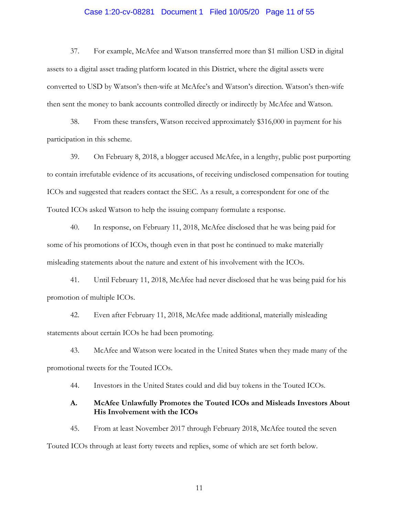# Case 1:20-cv-08281 Document 1 Filed 10/05/20 Page 11 of 55

37. For example, McAfee and Watson transferred more than \$1 million USD in digital assets to a digital asset trading platform located in this District, where the digital assets were converted to USD by Watson's then-wife at McAfee's and Watson's direction. Watson's then-wife then sent the money to bank accounts controlled directly or indirectly by McAfee and Watson.

38. From these transfers, Watson received approximately \$316,000 in payment for his participation in this scheme.

39. On February 8, 2018, a blogger accused McAfee, in a lengthy, public post purporting to contain irrefutable evidence of its accusations, of receiving undisclosed compensation for touting ICOs and suggested that readers contact the SEC. As a result, a correspondent for one of the Touted ICOs asked Watson to help the issuing company formulate a response.

40. In response, on February 11, 2018, McAfee disclosed that he was being paid for some of his promotions of ICOs, though even in that post he continued to make materially misleading statements about the nature and extent of his involvement with the ICOs.

41. Until February 11, 2018, McAfee had never disclosed that he was being paid for his promotion of multiple ICOs.

42. Even after February 11, 2018, McAfee made additional, materially misleading statements about certain ICOs he had been promoting.

43. McAfee and Watson were located in the United States when they made many of the promotional tweets for the Touted ICOs.

44. Investors in the United States could and did buy tokens in the Touted ICOs.

### **A. McAfee Unlawfully Promotes the Touted ICOs and Misleads Investors About His Involvement with the ICOs**

45. From at least November 2017 through February 2018, McAfee touted the seven Touted ICOs through at least forty tweets and replies, some of which are set forth below.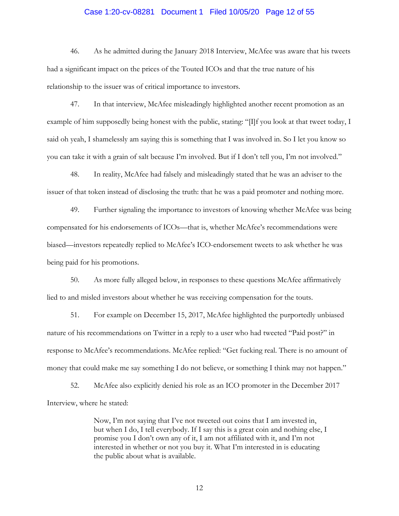### Case 1:20-cv-08281 Document 1 Filed 10/05/20 Page 12 of 55

46. As he admitted during the January 2018 Interview, McAfee was aware that his tweets had a significant impact on the prices of the Touted ICOs and that the true nature of his relationship to the issuer was of critical importance to investors.

47. In that interview, McAfee misleadingly highlighted another recent promotion as an example of him supposedly being honest with the public, stating: "[I]f you look at that tweet today, I said oh yeah, I shamelessly am saying this is something that I was involved in. So I let you know so you can take it with a grain of salt because I'm involved. But if I don't tell you, I'm not involved."

48. In reality, McAfee had falsely and misleadingly stated that he was an adviser to the issuer of that token instead of disclosing the truth: that he was a paid promoter and nothing more.

49. Further signaling the importance to investors of knowing whether McAfee was being compensated for his endorsements of ICOs—that is, whether McAfee's recommendations were biased—investors repeatedly replied to McAfee's ICO-endorsement tweets to ask whether he was being paid for his promotions.

50. As more fully alleged below, in responses to these questions McAfee affirmatively lied to and misled investors about whether he was receiving compensation for the touts.

51. For example on December 15, 2017, McAfee highlighted the purportedly unbiased nature of his recommendations on Twitter in a reply to a user who had tweeted "Paid post?" in response to McAfee's recommendations. McAfee replied: "Get fucking real. There is no amount of money that could make me say something I do not believe, or something I think may not happen."

52. McAfee also explicitly denied his role as an ICO promoter in the December 2017 Interview, where he stated:

> Now, I'm not saying that I've not tweeted out coins that I am invested in, but when I do, I tell everybody. If I say this is a great coin and nothing else, I promise you I don't own any of it, I am not affiliated with it, and I'm not interested in whether or not you buy it. What I'm interested in is educating the public about what is available.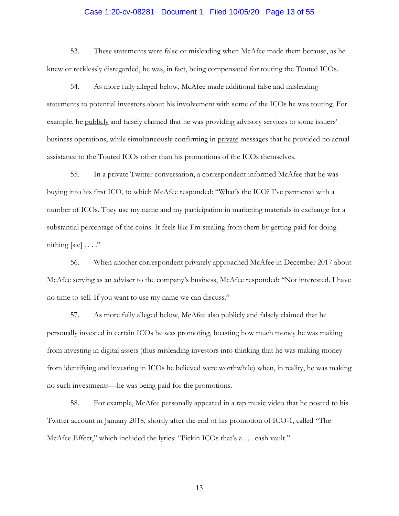# Case 1:20-cv-08281 Document 1 Filed 10/05/20 Page 13 of 55

53. These statements were false or misleading when McAfee made them because, as he knew or recklessly disregarded, he was, in fact, being compensated for touting the Touted ICOs.

54. As more fully alleged below, McAfee made additional false and misleading statements to potential investors about his involvement with some of the ICOs he was touting. For example, he publicly and falsely claimed that he was providing advisory services to some issuers' business operations, while simultaneously confirming in private messages that he provided no actual assistance to the Touted ICOs other than his promotions of the ICOs themselves.

55. In a private Twitter conversation, a correspondent informed McAfee that he was buying into his first ICO, to which McAfee responded: "What's the ICO? I've partnered with a number of ICOs. They use my name and my participation in marketing materials in exchange for a substantial percentage of the coins. It feels like I'm stealing from them by getting paid for doing nithing  $[sic] \ldots$ ."

56. When another correspondent privately approached McAfee in December 2017 about McAfee serving as an adviser to the company's business, McAfee responded: "Not interested. I have no time to sell. If you want to use my name we can discuss."

57. As more fully alleged below, McAfee also publicly and falsely claimed that he personally invested in certain ICOs he was promoting, boasting how much money he was making from investing in digital assets (thus misleading investors into thinking that he was making money from identifying and investing in ICOs he believed were worthwhile) when, in reality, he was making no such investments—he was being paid for the promotions.

58. For example, McAfee personally appeared in a rap music video that he posted to his Twitter account in January 2018, shortly after the end of his promotion of ICO-1, called "The McAfee Effect," which included the lyrics: "Pickin ICOs that's a . . . cash vault."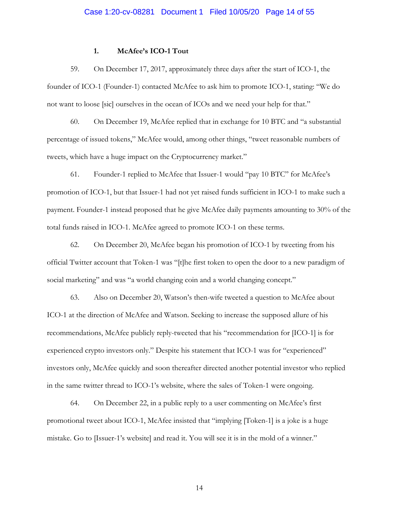#### **1. McAfee's ICO-1 Tout**

not want to loose [sic] ourselves in the ocean of ICOs and we need your help for that."<br>60. On December 19, McAfee replied that in exchange for 10 BTC and "a substantial" 59. On December 17, 2017, approximately three days after the start of ICO-1, the founder of ICO-1 (Founder-1) contacted McAfee to ask him to promote ICO-1, stating: "We do

percentage of issued tokens," McAfee would, among other things, "tweet reasonable numbers of tweets, which have a huge impact on the Cryptocurrency market."

61. Founder-1 replied to McAfee that Issuer-1 would "pay 10 BTC" for McAfee's promotion of ICO-1, but that Issuer-1 had not yet raised funds sufficient in ICO-1 to make such a payment. Founder-1 instead proposed that he give McAfee daily payments amounting to 30% of the total funds raised in ICO-1. McAfee agreed to promote ICO-1 on these terms.

62. On December 20, McAfee began his promotion of ICO-1 by tweeting from his official Twitter account that Token-1 was "[t]he first token to open the door to a new paradigm of social marketing" and was "a world changing coin and a world changing concept."

63. Also on December 20, Watson's then-wife tweeted a question to McAfee about ICO-1 at the direction of McAfee and Watson. Seeking to increase the supposed allure of his recommendations, McAfee publicly reply-tweeted that his "recommendation for [ICO-1] is for experienced crypto investors only." Despite his statement that ICO-1 was for "experienced" investors only, McAfee quickly and soon thereafter directed another potential investor who replied in the same twitter thread to ICO-1's website, where the sales of Token-1 were ongoing.

64. On December 22, in a public reply to a user commenting on McAfee's first promotional tweet about ICO-1, McAfee insisted that "implying [Token-1] is a joke is a huge mistake. Go to [Issuer-1's website] and read it. You will see it is in the mold of a winner."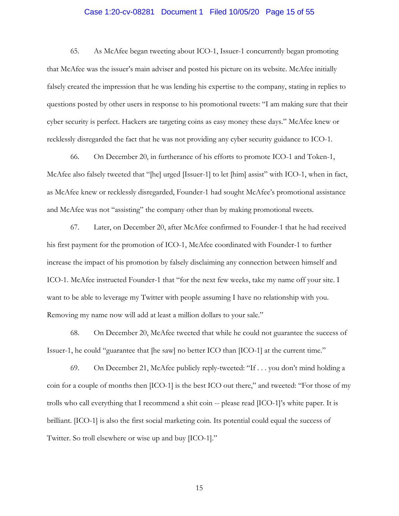### Case 1:20-cv-08281 Document 1 Filed 10/05/20 Page 15 of 55

65. As McAfee began tweeting about ICO-1, Issuer-1 concurrently began promoting that McAfee was the issuer's main adviser and posted his picture on its website. McAfee initially falsely created the impression that he was lending his expertise to the company, stating in replies to questions posted by other users in response to his promotional tweets: "I am making sure that their cyber security is perfect. Hackers are targeting coins as easy money these days." McAfee knew or recklessly disregarded the fact that he was not providing any cyber security guidance to ICO-1.

66. On December 20, in furtherance of his efforts to promote ICO-1 and Token-1, McAfee also falsely tweeted that "[he] urged [Issuer-1] to let [him] assist" with ICO-1, when in fact, as McAfee knew or recklessly disregarded, Founder-1 had sought McAfee's promotional assistance and McAfee was not "assisting" the company other than by making promotional tweets.

67. Later, on December 20, after McAfee confirmed to Founder-1 that he had received his first payment for the promotion of ICO-1, McAfee coordinated with Founder-1 to further increase the impact of his promotion by falsely disclaiming any connection between himself and ICO-1. McAfee instructed Founder-1 that "for the next few weeks, take my name off your site. I want to be able to leverage my Twitter with people assuming I have no relationship with you. Removing my name now will add at least a million dollars to your sale."

68. On December 20, McAfee tweeted that while he could not guarantee the success of Issuer-1, he could "guarantee that [he saw] no better ICO than [ICO-1] at the current time."

69. On December 21, McAfee publicly reply-tweeted: "If . . . you don't mind holding a coin for a couple of months then [ICO-1] is the best ICO out there," and tweeted: "For those of my trolls who call everything that I recommend a shit coin -- please read [ICO-1]'s white paper. It is brilliant. [ICO-1] is also the first social marketing coin. Its potential could equal the success of Twitter. So troll elsewhere or wise up and buy [ICO-1]."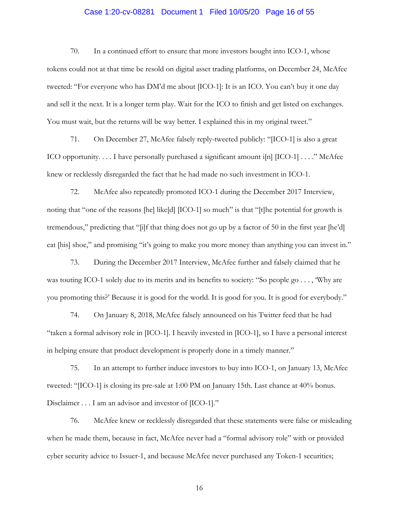### Case 1:20-cv-08281 Document 1 Filed 10/05/20 Page 16 of 55

70. In a continued effort to ensure that more investors bought into ICO-1, whose tokens could not at that time be resold on digital asset trading platforms, on December 24, McAfee tweeted: "For everyone who has DM'd me about [ICO-1]: It is an ICO. You can't buy it one day and sell it the next. It is a longer term play. Wait for the ICO to finish and get listed on exchanges. You must wait, but the returns will be way better. I explained this in my original tweet."

71. On December 27, McAfee falsely reply-tweeted publicly: "[ICO-1] is also a great ICO opportunity.  $\dots$  I have personally purchased a significant amount i[n]  $[ICO-1] \dots$ ." McAfee knew or recklessly disregarded the fact that he had made no such investment in ICO-1.

72. McAfee also repeatedly promoted ICO-1 during the December 2017 Interview, noting that "one of the reasons [he] like[d] [ICO-1] so much" is that "[t]he potential for growth is tremendous," predicting that "[i]f that thing does not go up by a factor of 50 in the first year [he'd] eat [his] shoe," and promising "it's going to make you more money than anything you can invest in."

73. During the December 2017 Interview, McAfee further and falsely claimed that he was touting ICO-1 solely due to its merits and its benefits to society: "So people go . . . , 'Why are you promoting this?' Because it is good for the world. It is good for you. It is good for everybody."

74. On January 8, 2018, McAfee falsely announced on his Twitter feed that he had "taken a formal advisory role in [ICO-1]. I heavily invested in [ICO-1], so I have a personal interest in helping ensure that product development is properly done in a timely manner."

75. In an attempt to further induce investors to buy into ICO-1, on January 13, McAfee tweeted: "[ICO-1] is closing its pre-sale at 1:00 PM on January 15th. Last chance at 40% bonus. Disclaimer . . . I am an advisor and investor of [ICO-1]."

76. McAfee knew or recklessly disregarded that these statements were false or misleading when he made them, because in fact, McAfee never had a "formal advisory role" with or provided cyber security advice to Issuer-1, and because McAfee never purchased any Token-1 securities;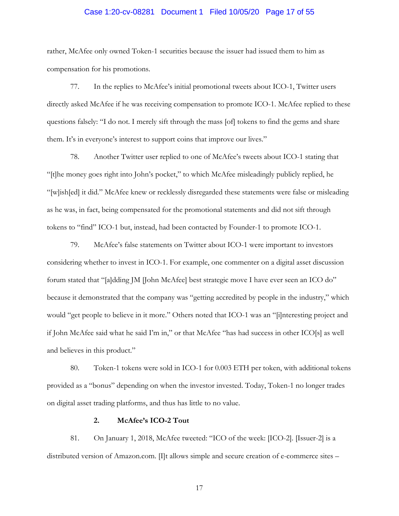### Case 1:20-cv-08281 Document 1 Filed 10/05/20 Page 17 of 55

rather, McAfee only owned Token-1 securities because the issuer had issued them to him as compensation for his promotions.

77. In the replies to McAfee's initial promotional tweets about ICO-1, Twitter users directly asked McAfee if he was receiving compensation to promote ICO-1. McAfee replied to these questions falsely: "I do not. I merely sift through the mass [of] tokens to find the gems and share them. It's in everyone's interest to support coins that improve our lives."

78. Another Twitter user replied to one of McAfee's tweets about ICO-1 stating that "[t]he money goes right into John's pocket," to which McAfee misleadingly publicly replied, he "[w]ish[ed] it did." McAfee knew or recklessly disregarded these statements were false or misleading as he was, in fact, being compensated for the promotional statements and did not sift through tokens to "find" ICO-1 but, instead, had been contacted by Founder-1 to promote ICO-1.

79. McAfee's false statements on Twitter about ICO-1 were important to investors considering whether to invest in ICO-1. For example, one commenter on a digital asset discussion forum stated that "[a]dding JM [John McAfee] best strategic move I have ever seen an ICO do" because it demonstrated that the company was "getting accredited by people in the industry," which would "get people to believe in it more." Others noted that ICO-1 was an "[i]nteresting project and if John McAfee said what he said I'm in," or that McAfee "has had success in other ICO[s] as well and believes in this product."

80. Token-1 tokens were sold in ICO-1 for 0.003 ETH per token, with additional tokens provided as a "bonus" depending on when the investor invested. Today, Token-1 no longer trades on digital asset trading platforms, and thus has little to no value.

#### **2. McAfee's ICO-2 Tout**

81. On January 1, 2018, McAfee tweeted: "ICO of the week: [ICO-2]. [Issuer-2] is a distributed version of Amazon.com. [I]t allows simple and secure creation of e-commerce sites –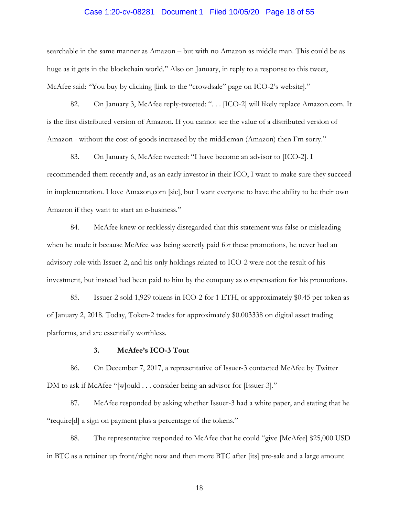#### Case 1:20-cv-08281 Document 1 Filed 10/05/20 Page 18 of 55

searchable in the same manner as Amazon – but with no Amazon as middle man. This could be as huge as it gets in the blockchain world." Also on January, in reply to a response to this tweet, McAfee said: "You buy by clicking [link to the "crowdsale" page on ICO-2's website]."

82. On January 3, McAfee reply-tweeted: "... [ICO-2] will likely replace Amazon.com. It is the first distributed version of Amazon. If you cannot see the value of a distributed version of Amazon - without the cost of goods increased by the middleman (Amazon) then I'm sorry."

83. On January 6, McAfee tweeted: "I have become an advisor to [ICO-2]. I recommended them recently and, as an early investor in their ICO, I want to make sure they succeed in implementation. I love Amazon,com [sic], but I want everyone to have the ability to be their own Amazon if they want to start an e-business."

84. McAfee knew or recklessly disregarded that this statement was false or misleading when he made it because McAfee was being secretly paid for these promotions, he never had an advisory role with Issuer-2, and his only holdings related to ICO-2 were not the result of his investment, but instead had been paid to him by the company as compensation for his promotions.

85. Issuer-2 sold 1,929 tokens in ICO-2 for 1 ETH, or approximately \$0.45 per token as of January 2, 2018. Today, Token-2 trades for approximately \$0.003338 on digital asset trading platforms, and are essentially worthless.

#### **3. McAfee's ICO-3 Tout**

86. On December 7, 2017, a representative of Issuer-3 contacted McAfee by Twitter DM to ask if McAfee "[w]ould . . . consider being an advisor for [Issuer-3]."

87. McAfee responded by asking whether Issuer-3 had a white paper, and stating that he "require[d] a sign on payment plus a percentage of the tokens."

88. The representative responded to McAfee that he could "give [McAfee] \$25,000 USD in BTC as a retainer up front/right now and then more BTC after [its] pre-sale and a large amount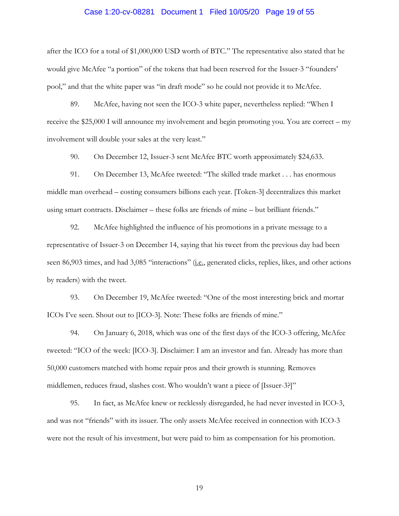# Case 1:20-cv-08281 Document 1 Filed 10/05/20 Page 19 of 55

after the ICO for a total of \$1,000,000 USD worth of BTC." The representative also stated that he would give McAfee "a portion" of the tokens that had been reserved for the Issuer-3 "founders' pool," and that the white paper was "in draft mode" so he could not provide it to McAfee.

89. McAfee, having not seen the ICO-3 white paper, nevertheless replied: "When I receive the \$25,000 I will announce my involvement and begin promoting you. You are correct – my involvement will double your sales at the very least."

90. On December 12, Issuer-3 sent McAfee BTC worth approximately \$24,633.

91. On December 13, McAfee tweeted: "The skilled trade market . . . has enormous middle man overhead – costing consumers billions each year. [Token-3] decentralizes this market using smart contracts. Disclaimer – these folks are friends of mine – but brilliant friends."

92. McAfee highlighted the influence of his promotions in a private message to a representative of Issuer-3 on December 14, saying that his tweet from the previous day had been seen 86,903 times, and had 3,085 "interactions" (i.e., generated clicks, replies, likes, and other actions by readers) with the tweet.

93. On December 19, McAfee tweeted: "One of the most interesting brick and mortar ICOs I've seen. Shout out to [ICO-3]. Note: These folks are friends of mine."

94. On January 6, 2018, which was one of the first days of the ICO-3 offering, McAfee tweeted: "ICO of the week: [ICO-3]. Disclaimer: I am an investor and fan. Already has more than 50,000 customers matched with home repair pros and their growth is stunning. Removes middlemen, reduces fraud, slashes cost. Who wouldn't want a piece of [Issuer-3?]"

95. In fact, as McAfee knew or recklessly disregarded, he had never invested in ICO-3, and was not "friends" with its issuer. The only assets McAfee received in connection with ICO-3 were not the result of his investment, but were paid to him as compensation for his promotion.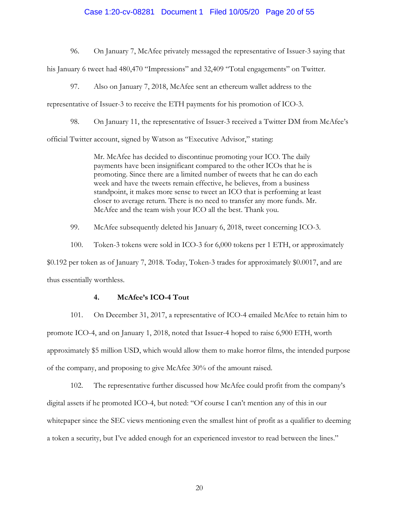#### Case 1:20-cv-08281 Document 1 Filed 10/05/20 Page 20 of 55

96. On January 7, McAfee privately messaged the representative of Issuer-3 saying that

his January 6 tweet had 480,470 "Impressions" and 32,409 "Total engagements" on Twitter.

97. Also on January 7, 2018, McAfee sent an ethereum wallet address to the

representative of Issuer-3 to receive the ETH payments for his promotion of ICO-3.

98. On January 11, the representative of Issuer-3 received a Twitter DM from McAfee's

official Twitter account, signed by Watson as "Executive Advisor," stating:

Mr. McAfee has decided to discontinue promoting your ICO. The daily payments have been insignificant compared to the other ICOs that he is promoting. Since there are a limited number of tweets that he can do each week and have the tweets remain effective, he believes, from a business standpoint, it makes more sense to tweet an ICO that is performing at least closer to average return. There is no need to transfer any more funds. Mr. McAfee and the team wish your ICO all the best. Thank you.

99. McAfee subsequently deleted his January 6, 2018, tweet concerning ICO-3.

100. Token-3 tokens were sold in ICO-3 for 6,000 tokens per 1 ETH, or approximately \$0.192 per token as of January 7, 2018. Today, Token-3 trades for approximately \$0.0017, and are thus essentially worthless.

### **4. McAfee's ICO-4 Tout**

101. On December 31, 2017, a representative of ICO-4 emailed McAfee to retain him to promote ICO-4, and on January 1, 2018, noted that Issuer-4 hoped to raise 6,900 ETH, worth approximately \$5 million USD, which would allow them to make horror films, the intended purpose of the company, and proposing to give McAfee 30% of the amount raised.

102. The representative further discussed how McAfee could profit from the company's digital assets if he promoted ICO-4, but noted: "Of course I can't mention any of this in our whitepaper since the SEC views mentioning even the smallest hint of profit as a qualifier to deeming a token a security, but I've added enough for an experienced investor to read between the lines."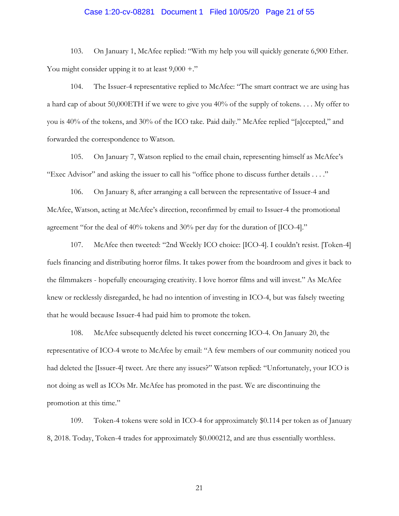# Case 1:20-cv-08281 Document 1 Filed 10/05/20 Page 21 of 55

103. On January 1, McAfee replied: "With my help you will quickly generate 6,900 Ether. You might consider upping it to at least  $9,000 +$ ."

104. The Issuer-4 representative replied to McAfee: "The smart contract we are using has a hard cap of about 50,000ETH if we were to give you 40% of the supply of tokens. . . . My offer to you is 40% of the tokens, and 30% of the ICO take. Paid daily." McAfee replied "[a]ccepted," and forwarded the correspondence to Watson.

105. On January 7, Watson replied to the email chain, representing himself as McAfee's "Exec Advisor" and asking the issuer to call his "office phone to discuss further details . . . ."

106. On January 8, after arranging a call between the representative of Issuer-4 and McAfee, Watson, acting at McAfee's direction, reconfirmed by email to Issuer-4 the promotional agreement "for the deal of 40% tokens and 30% per day for the duration of [ICO-4]."

107. McAfee then tweeted: "2nd Weekly ICO choice: [ICO-4]. I couldn't resist. [Token-4] fuels financing and distributing horror films. It takes power from the boardroom and gives it back to the filmmakers - hopefully encouraging creativity. I love horror films and will invest." As McAfee knew or recklessly disregarded, he had no intention of investing in ICO-4, but was falsely tweeting that he would because Issuer-4 had paid him to promote the token.

108. McAfee subsequently deleted his tweet concerning ICO-4. On January 20, the representative of ICO-4 wrote to McAfee by email: "A few members of our community noticed you had deleted the [Issuer-4] tweet. Are there any issues?" Watson replied: "Unfortunately, your ICO is not doing as well as ICOs Mr. McAfee has promoted in the past. We are discontinuing the promotion at this time."

109. Token-4 tokens were sold in ICO-4 for approximately \$0.114 per token as of January 8, 2018. Today, Token-4 trades for approximately \$0.000212, and are thus essentially worthless.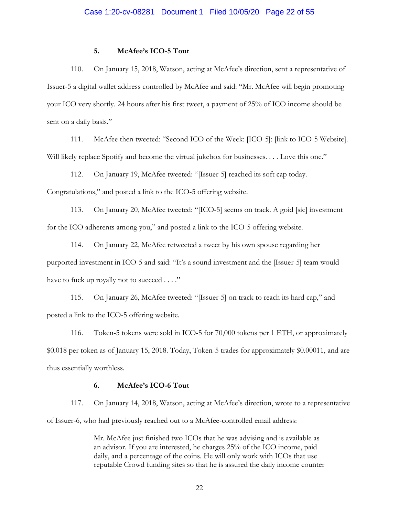#### **5. McAfee's ICO-5 Tout**

110. On January 15, 2018, Watson, acting at McAfee's direction, sent a representative of Issuer-5 a digital wallet address controlled by McAfee and said: "Mr. McAfee will begin promoting your ICO very shortly. 24 hours after his first tweet, a payment of 25% of ICO income should be sent on a daily basis."

111. McAfee then tweeted: "Second ICO of the Week: [ICO-5]: [link to ICO-5 Website]. Will likely replace Spotify and become the virtual jukebox for businesses. . . . Love this one."

112. On January 19, McAfee tweeted: "[Issuer-5] reached its soft cap today. Congratulations," and posted a link to the ICO-5 offering website.

113. On January 20, McAfee tweeted: "[ICO-5] seems on track. A goid [sic] investment for the ICO adherents among you," and posted a link to the ICO-5 offering website.

114. On January 22, McAfee retweeted a tweet by his own spouse regarding her purported investment in ICO-5 and said: "It's a sound investment and the [Issuer-5] team would have to fuck up royally not to succeed . . . ."

115. On January 26, McAfee tweeted: "[Issuer-5] on track to reach its hard cap," and posted a link to the ICO-5 offering website.

116. Token-5 tokens were sold in ICO-5 for 70,000 tokens per 1 ETH, or approximately \$0.018 per token as of January 15, 2018. Today, Token-5 trades for approximately \$0.00011, and are thus essentially worthless.

### **6. McAfee's ICO-6 Tout**

117. On January 14, 2018, Watson, acting at McAfee's direction, wrote to a representative of Issuer-6, who had previously reached out to a McAfee-controlled email address:

> Mr. McAfee just finished two ICOs that he was advising and is available as an advisor. If you are interested, he charges 25% of the ICO income, paid daily, and a percentage of the coins. He will only work with ICOs that use reputable Crowd funding sites so that he is assured the daily income counter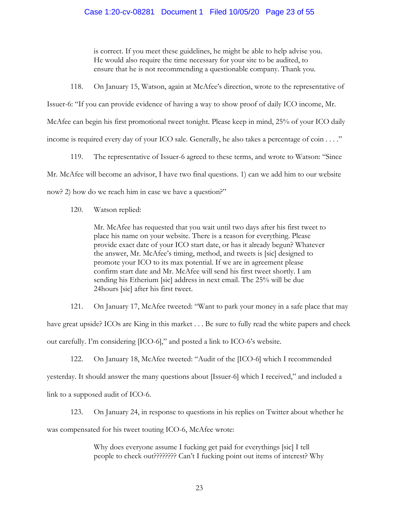### Case 1:20-cv-08281 Document 1 Filed 10/05/20 Page 23 of 55

is correct. If you meet these guidelines, he might be able to help advise you. He would also require the time necessary for your site to be audited, to ensure that he is not recommending a questionable company. Thank you.

118. On January 15, Watson, again at McAfee's direction, wrote to the representative of

Issuer-6: "If you can provide evidence of having a way to show proof of daily ICO income, Mr.

McAfee can begin his first promotional tweet tonight. Please keep in mind, 25% of your ICO daily

income is required every day of your ICO sale. Generally, he also takes a percentage of coin . . . ."<br>119. The representative of Issuer-6 agreed to these terms, and wrote to Watson: "Since

Mr. McAfee will become an advisor, I have two final questions. 1) can we add him to our website

now? 2) how do we reach him in case we have a question?"

120. Watson replied:

Mr. McAfee has requested that you wait until two days after his first tweet to place his name on your website. There is a reason for everything. Please provide exact date of your ICO start date, or has it already begun? Whatever the answer, Mr. McAfee's timing, method, and tweets is [sic] designed to promote your ICO to its max potential. If we are in agreement please confirm start date and Mr. McAfee will send his first tweet shortly. I am sending his Etherium [sic] address in next email. The 25% will be due 24hours [sic] after his first tweet.

121. On January 17, McAfee tweeted: "Want to park your money in a safe place that may have great upside? ICOs are King in this market . . . Be sure to fully read the white papers and check out carefully. I'm considering [ICO-6]," and posted a link to ICO-6's website.

122. On January 18, McAfee tweeted: "Audit of the [ICO-6] which I recommended yesterday. It should answer the many questions about [Issuer-6] which I received," and included a link to a supposed audit of ICO-6.

123. On January 24, in response to questions in his replies on Twitter about whether he was compensated for his tweet touting ICO-6, McAfee wrote:

> Why does everyone assume I fucking get paid for everythings [sic] I tell people to check out???????? Can't I fucking point out items of interest? Why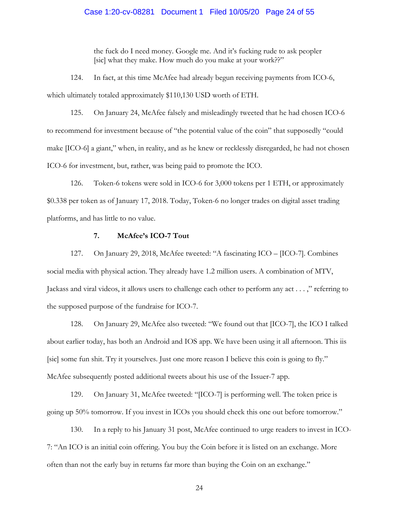#### Case 1:20-cv-08281 Document 1 Filed 10/05/20 Page 24 of 55

the fuck do I need money. Google me. And it's fucking rude to ask peopler [sic] what they make. How much do you make at your work??"

124. In fact, at this time McAfee had already begun receiving payments from ICO-6, which ultimately totaled approximately \$110,130 USD worth of ETH.

125. On January 24, McAfee falsely and misleadingly tweeted that he had chosen ICO-6 to recommend for investment because of "the potential value of the coin" that supposedly "could make [ICO-6] a giant," when, in reality, and as he knew or recklessly disregarded, he had not chosen ICO-6 for investment, but, rather, was being paid to promote the ICO.

126. Token-6 tokens were sold in ICO-6 for 3,000 tokens per 1 ETH, or approximately \$0.338 per token as of January 17, 2018. Today, Token-6 no longer trades on digital asset trading platforms, and has little to no value.

### **7. McAfee's ICO-7 Tout**

127. On January 29, 2018, McAfee tweeted: "A fascinating ICO – [ICO-7]. Combines social media with physical action. They already have 1.2 million users. A combination of MTV, Jackass and viral videos, it allows users to challenge each other to perform any act . . . ," referring to the supposed purpose of the fundraise for ICO-7.

128. On January 29, McAfee also tweeted: "We found out that [ICO-7], the ICO I talked about earlier today, has both an Android and IOS app. We have been using it all afternoon. This iis [sic] some fun shit. Try it yourselves. Just one more reason I believe this coin is going to fly." McAfee subsequently posted additional tweets about his use of the Issuer-7 app.

129. On January 31, McAfee tweeted: "[ICO-7] is performing well. The token price is going up 50% tomorrow. If you invest in ICOs you should check this one out before tomorrow."

130. In a reply to his January 31 post, McAfee continued to urge readers to invest in ICO-7: "An ICO is an initial coin offering. You buy the Coin before it is listed on an exchange. More often than not the early buy in returns far more than buying the Coin on an exchange."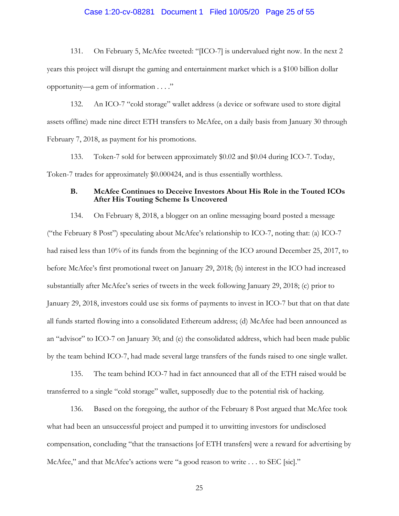#### Case 1:20-cv-08281 Document 1 Filed 10/05/20 Page 25 of 55

131. On February 5, McAfee tweeted: "[ICO-7] is undervalued right now. In the next 2 years this project will disrupt the gaming and entertainment market which is a \$100 billion dollar opportunity—a gem of information . . . ."

132. An ICO-7 "cold storage" wallet address (a device or software used to store digital assets offline) made nine direct ETH transfers to McAfee, on a daily basis from January 30 through February 7, 2018, as payment for his promotions.

133. Token-7 sold for between approximately \$0.02 and \$0.04 during ICO-7. Today, Token-7 trades for approximately \$0.000424, and is thus essentially worthless.

#### **B. McAfee Continues to Deceive Investors About His Role in the Touted ICOs After His Touting Scheme Is Uncovered**

134. On February 8, 2018, a blogger on an online messaging board posted a message ("the February 8 Post") speculating about McAfee's relationship to ICO-7, noting that: (a) ICO-7 had raised less than 10% of its funds from the beginning of the ICO around December 25, 2017, to before McAfee's first promotional tweet on January 29, 2018; (b) interest in the ICO had increased substantially after McAfee's series of tweets in the week following January 29, 2018; (c) prior to January 29, 2018, investors could use six forms of payments to invest in ICO-7 but that on that date all funds started flowing into a consolidated Ethereum address; (d) McAfee had been announced as an "advisor" to ICO-7 on January 30; and (e) the consolidated address, which had been made public by the team behind ICO-7, had made several large transfers of the funds raised to one single wallet.

135. The team behind ICO-7 had in fact announced that all of the ETH raised would be transferred to a single "cold storage" wallet, supposedly due to the potential risk of hacking.

136. Based on the foregoing, the author of the February 8 Post argued that McAfee took what had been an unsuccessful project and pumped it to unwitting investors for undisclosed compensation, concluding "that the transactions [of ETH transfers] were a reward for advertising by McAfee," and that McAfee's actions were "a good reason to write . . . to SEC [sic]."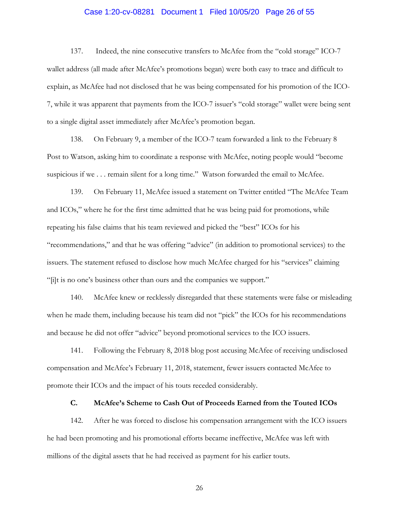### Case 1:20-cv-08281 Document 1 Filed 10/05/20 Page 26 of 55

137. Indeed, the nine consecutive transfers to McAfee from the "cold storage" ICO-7 wallet address (all made after McAfee's promotions began) were both easy to trace and difficult to explain, as McAfee had not disclosed that he was being compensated for his promotion of the ICO-7, while it was apparent that payments from the ICO-7 issuer's "cold storage" wallet were being sent to a single digital asset immediately after McAfee's promotion began.

138. On February 9, a member of the ICO-7 team forwarded a link to the February 8 Post to Watson, asking him to coordinate a response with McAfee, noting people would "become suspicious if we . . . remain silent for a long time." Watson forwarded the email to McAfee.

139. On February 11, McAfee issued a statement on Twitter entitled "The McAfee Team and ICOs," where he for the first time admitted that he was being paid for promotions, while repeating his false claims that his team reviewed and picked the "best" ICOs for his "recommendations," and that he was offering "advice" (in addition to promotional services) to the issuers. The statement refused to disclose how much McAfee charged for his "services" claiming "[i]t is no one's business other than ours and the companies we support."

140. McAfee knew or recklessly disregarded that these statements were false or misleading when he made them, including because his team did not "pick" the ICOs for his recommendations and because he did not offer "advice" beyond promotional services to the ICO issuers.

141. Following the February 8, 2018 blog post accusing McAfee of receiving undisclosed compensation and McAfee's February 11, 2018, statement, fewer issuers contacted McAfee to promote their ICOs and the impact of his touts receded considerably.

### **C. McAfee's Scheme to Cash Out of Proceeds Earned from the Touted ICOs**

142. After he was forced to disclose his compensation arrangement with the ICO issuers he had been promoting and his promotional efforts became ineffective, McAfee was left with millions of the digital assets that he had received as payment for his earlier touts.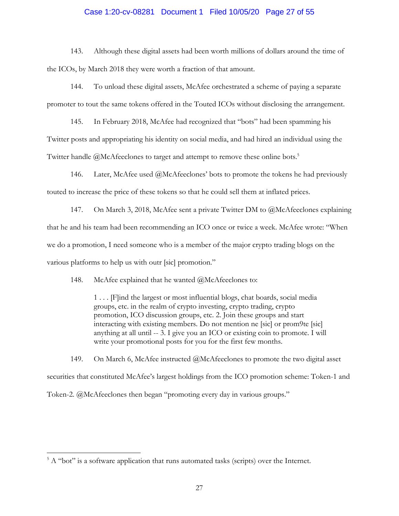### Case 1:20-cv-08281 Document 1 Filed 10/05/20 Page 27 of 55

143. Although these digital assets had been worth millions of dollars around the time of the ICOs, by March 2018 they were worth a fraction of that amount.

144. To unload these digital assets, McAfee orchestrated a scheme of paying a separate promoter to tout the same tokens offered in the Touted ICOs without disclosing the arrangement.

145. In February 2018, McAfee had recognized that "bots" had been spamming his Twitter posts and appropriating his identity on social media, and had hired an individual using the Twitter handle @McAfeeclones to target and attempt to remove these online bots.<sup>5</sup>

146. Later, McAfee used @McAfeeclones' bots to promote the tokens he had previously touted to increase the price of these tokens so that he could sell them at inflated prices.

147. On March 3, 2018, McAfee sent a private Twitter DM to @McAfeeclones explaining that he and his team had been recommending an ICO once or twice a week. McAfee wrote: "When we do a promotion, I need someone who is a member of the major crypto trading blogs on the various platforms to help us with outr [sic] promotion."

148. McAfee explained that he wanted @McAfeeclones to:

1 . . . [F]ind the largest or most influential blogs, chat boards, social media groups, etc. in the realm of crypto investing, crypto trading, crypto promotion, ICO discussion groups, etc. 2. Join these groups and start interacting with existing members. Do not mention ne [sic] or prom9te [sic] anything at all until -- 3. I give you an ICO or existing coin to promote. I will write your promotional posts for you for the first few months.

149. On March 6, McAfee instructed @McAfeeclones to promote the two digital asset securities that constituted McAfee's largest holdings from the ICO promotion scheme: Token-1 and Token-2. @McAfeeclones then began "promoting every day in various groups."

 $\overline{a}$ 

 $5 A$  "bot" is a software application that runs automated tasks (scripts) over the Internet.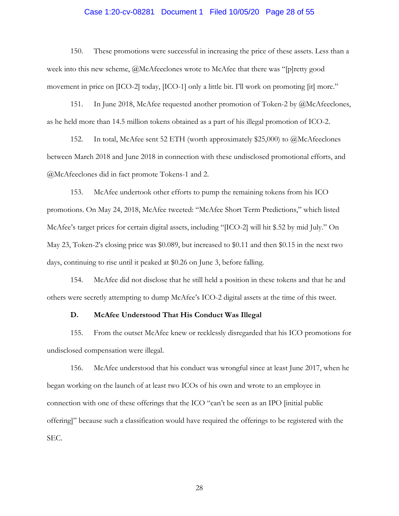### Case 1:20-cv-08281 Document 1 Filed 10/05/20 Page 28 of 55

150. These promotions were successful in increasing the price of these assets. Less than a week into this new scheme, @McAfeeclones wrote to McAfee that there was "[p]retty good movement in price on [ICO-2] today, [ICO-1] only a little bit. I'll work on promoting [it] more."

151. In June 2018, McAfee requested another promotion of Token-2 by @McAfeeclones, as he held more than 14.5 million tokens obtained as a part of his illegal promotion of ICO-2.

152. In total, McAfee sent 52 ETH (worth approximately \$25,000) to @McAfeeclones between March 2018 and June 2018 in connection with these undisclosed promotional efforts, and @McAfeeclones did in fact promote Tokens-1 and 2.

153. McAfee undertook other efforts to pump the remaining tokens from his ICO promotions. On May 24, 2018, McAfee tweeted: "McAfee Short Term Predictions," which listed McAfee's target prices for certain digital assets, including "[ICO-2] will hit \$.52 by mid July." On May 23, Token-2's closing price was \$0.089, but increased to \$0.11 and then \$0.15 in the next two days, continuing to rise until it peaked at \$0.26 on June 3, before falling.

154. McAfee did not disclose that he still held a position in these tokens and that he and others were secretly attempting to dump McAfee's ICO-2 digital assets at the time of this tweet.

### **D. McAfee Understood That His Conduct Was Illegal**

155. From the outset McAfee knew or recklessly disregarded that his ICO promotions for undisclosed compensation were illegal.

156. McAfee understood that his conduct was wrongful since at least June 2017, when he began working on the launch of at least two ICOs of his own and wrote to an employee in connection with one of these offerings that the ICO "can't be seen as an IPO [initial public offering]" because such a classification would have required the offerings to be registered with the SEC.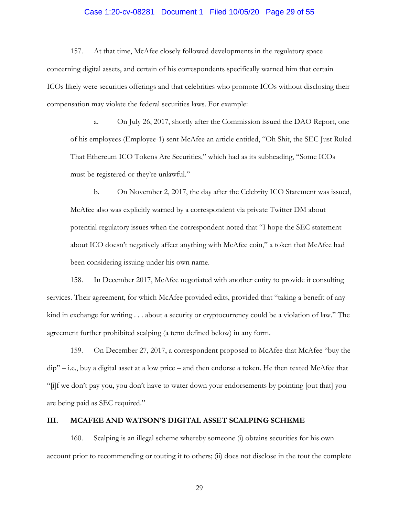# Case 1:20-cv-08281 Document 1 Filed 10/05/20 Page 29 of 55

157. At that time, McAfee closely followed developments in the regulatory space concerning digital assets, and certain of his correspondents specifically warned him that certain ICOs likely were securities offerings and that celebrities who promote ICOs without disclosing their compensation may violate the federal securities laws. For example:

a. On July 26, 2017, shortly after the Commission issued the DAO Report, one of his employees (Employee-1) sent McAfee an article entitled, "Oh Shit, the SEC Just Ruled That Ethereum ICO Tokens Are Securities," which had as its subheading, "Some ICOs must be registered or they're unlawful."

b. On November 2, 2017, the day after the Celebrity ICO Statement was issued, McAfee also was explicitly warned by a correspondent via private Twitter DM about potential regulatory issues when the correspondent noted that "I hope the SEC statement about ICO doesn't negatively affect anything with McAfee coin," a token that McAfee had been considering issuing under his own name.

158. In December 2017, McAfee negotiated with another entity to provide it consulting services. Their agreement, for which McAfee provided edits, provided that "taking a benefit of any kind in exchange for writing . . . about a security or cryptocurrency could be a violation of law." The agreement further prohibited scalping (a term defined below) in any form.

159. On December 27, 2017, a correspondent proposed to McAfee that McAfee "buy the  $dip'' - i.e.,$  buy a digital asset at a low price – and then endorse a token. He then texted McAfee that "[i]f we don't pay you, you don't have to water down your endorsements by pointing [out that] you are being paid as SEC required."

### **III. MCAFEE AND WATSON'S DIGITAL ASSET SCALPING SCHEME**

160. Scalping is an illegal scheme whereby someone (i) obtains securities for his own account prior to recommending or touting it to others; (ii) does not disclose in the tout the complete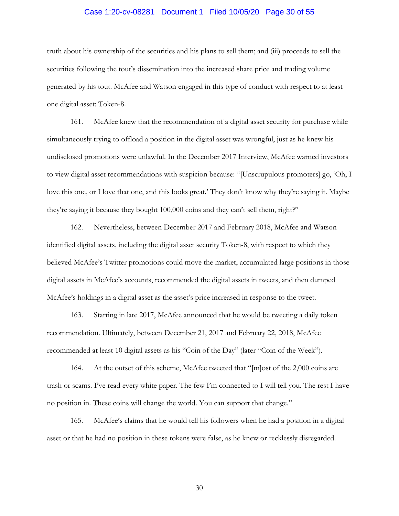# Case 1:20-cv-08281 Document 1 Filed 10/05/20 Page 30 of 55

truth about his ownership of the securities and his plans to sell them; and (iii) proceeds to sell the securities following the tout's dissemination into the increased share price and trading volume generated by his tout. McAfee and Watson engaged in this type of conduct with respect to at least one digital asset: Token-8.

161. McAfee knew that the recommendation of a digital asset security for purchase while simultaneously trying to offload a position in the digital asset was wrongful, just as he knew his undisclosed promotions were unlawful. In the December 2017 Interview, McAfee warned investors to view digital asset recommendations with suspicion because: "[Unscrupulous promoters] go, 'Oh, I love this one, or I love that one, and this looks great.' They don't know why they're saying it. Maybe they're saying it because they bought 100,000 coins and they can't sell them, right?"

162. Nevertheless, between December 2017 and February 2018, McAfee and Watson identified digital assets, including the digital asset security Token-8, with respect to which they believed McAfee's Twitter promotions could move the market, accumulated large positions in those digital assets in McAfee's accounts, recommended the digital assets in tweets, and then dumped McAfee's holdings in a digital asset as the asset's price increased in response to the tweet.

163. Starting in late 2017, McAfee announced that he would be tweeting a daily token recommendation. Ultimately, between December 21, 2017 and February 22, 2018, McAfee recommended at least 10 digital assets as his "Coin of the Day" (later "Coin of the Week").

164. At the outset of this scheme, McAfee tweeted that "[m]ost of the 2,000 coins are trash or scams. I've read every white paper. The few I'm connected to I will tell you. The rest I have no position in. These coins will change the world. You can support that change."

165. McAfee's claims that he would tell his followers when he had a position in a digital asset or that he had no position in these tokens were false, as he knew or recklessly disregarded.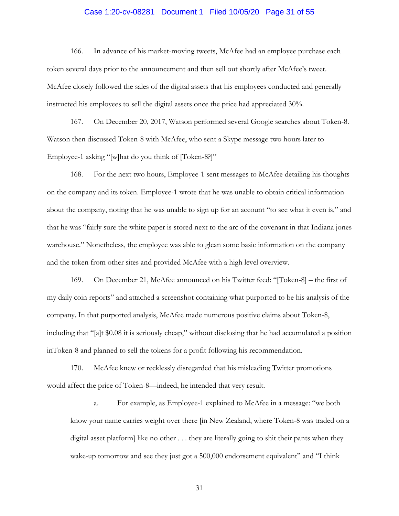# Case 1:20-cv-08281 Document 1 Filed 10/05/20 Page 31 of 55

166. In advance of his market-moving tweets, McAfee had an employee purchase each token several days prior to the announcement and then sell out shortly after McAfee's tweet. McAfee closely followed the sales of the digital assets that his employees conducted and generally instructed his employees to sell the digital assets once the price had appreciated 30%.

167. On December 20, 2017, Watson performed several Google searches about Token-8. Watson then discussed Token-8 with McAfee, who sent a Skype message two hours later to Employee-1 asking "[w]hat do you think of [Token-8?]"

168. For the next two hours, Employee-1 sent messages to McAfee detailing his thoughts on the company and its token. Employee-1 wrote that he was unable to obtain critical information about the company, noting that he was unable to sign up for an account "to see what it even is," and that he was "fairly sure the white paper is stored next to the arc of the covenant in that Indiana jones warehouse." Nonetheless, the employee was able to glean some basic information on the company and the token from other sites and provided McAfee with a high level overview.

169. On December 21, McAfee announced on his Twitter feed: "[Token-8] – the first of my daily coin reports" and attached a screenshot containing what purported to be his analysis of the company. In that purported analysis, McAfee made numerous positive claims about Token-8, including that "[a]t \$0.08 it is seriously cheap," without disclosing that he had accumulated a position inToken-8 and planned to sell the tokens for a profit following his recommendation.

170. McAfee knew or recklessly disregarded that his misleading Twitter promotions would affect the price of Token-8—indeed, he intended that very result.

a. For example, as Employee-1 explained to McAfee in a message: "we both know your name carries weight over there [in New Zealand, where Token-8 was traded on a digital asset platform] like no other . . . they are literally going to shit their pants when they wake-up tomorrow and see they just got a 500,000 endorsement equivalent" and "I think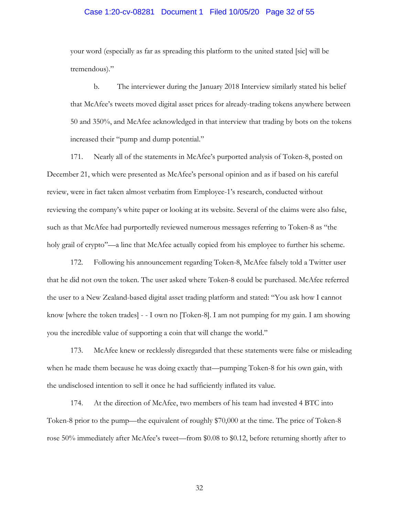### Case 1:20-cv-08281 Document 1 Filed 10/05/20 Page 32 of 55

your word (especially as far as spreading this platform to the united stated [sic] will be tremendous)."

b. The interviewer during the January 2018 Interview similarly stated his belief that McAfee's tweets moved digital asset prices for already-trading tokens anywhere between 50 and 350%, and McAfee acknowledged in that interview that trading by bots on the tokens increased their "pump and dump potential."

171. Nearly all of the statements in McAfee's purported analysis of Token-8, posted on December 21, which were presented as McAfee's personal opinion and as if based on his careful review, were in fact taken almost verbatim from Employee-1's research, conducted without reviewing the company's white paper or looking at its website. Several of the claims were also false, such as that McAfee had purportedly reviewed numerous messages referring to Token-8 as "the holy grail of crypto"—a line that McAfee actually copied from his employee to further his scheme.

172. Following his announcement regarding Token-8, McAfee falsely told a Twitter user that he did not own the token. The user asked where Token-8 could be purchased. McAfee referred the user to a New Zealand-based digital asset trading platform and stated: "You ask how I cannot know [where the token trades] - - I own no [Token-8]. I am not pumping for my gain. I am showing you the incredible value of supporting a coin that will change the world."

173. McAfee knew or recklessly disregarded that these statements were false or misleading when he made them because he was doing exactly that—pumping Token-8 for his own gain, with the undisclosed intention to sell it once he had sufficiently inflated its value.

174. At the direction of McAfee, two members of his team had invested 4 BTC into Token-8 prior to the pump—the equivalent of roughly \$70,000 at the time. The price of Token-8 rose 50% immediately after McAfee's tweet—from \$0.08 to \$0.12, before returning shortly after to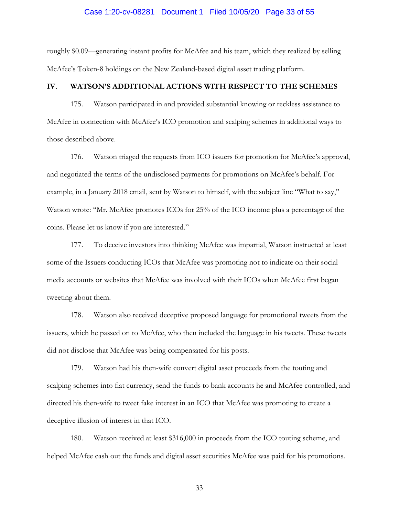# Case 1:20-cv-08281 Document 1 Filed 10/05/20 Page 33 of 55

roughly \$0.09—generating instant profits for McAfee and his team, which they realized by selling McAfee's Token-8 holdings on the New Zealand-based digital asset trading platform.

### **IV. WATSON'S ADDITIONAL ACTIONS WITH RESPECT TO THE SCHEMES**

175. Watson participated in and provided substantial knowing or reckless assistance to McAfee in connection with McAfee's ICO promotion and scalping schemes in additional ways to those described above.

176. Watson triaged the requests from ICO issuers for promotion for McAfee's approval, and negotiated the terms of the undisclosed payments for promotions on McAfee's behalf. For example, in a January 2018 email, sent by Watson to himself, with the subject line "What to say," Watson wrote: "Mr. McAfee promotes ICOs for 25% of the ICO income plus a percentage of the coins. Please let us know if you are interested."

177. To deceive investors into thinking McAfee was impartial, Watson instructed at least some of the Issuers conducting ICOs that McAfee was promoting not to indicate on their social media accounts or websites that McAfee was involved with their ICOs when McAfee first began tweeting about them.

178. Watson also received deceptive proposed language for promotional tweets from the issuers, which he passed on to McAfee, who then included the language in his tweets. These tweets did not disclose that McAfee was being compensated for his posts.

179. Watson had his then-wife convert digital asset proceeds from the touting and scalping schemes into fiat currency, send the funds to bank accounts he and McAfee controlled, and directed his then-wife to tweet fake interest in an ICO that McAfee was promoting to create a deceptive illusion of interest in that ICO.

180. Watson received at least \$316,000 in proceeds from the ICO touting scheme, and helped McAfee cash out the funds and digital asset securities McAfee was paid for his promotions.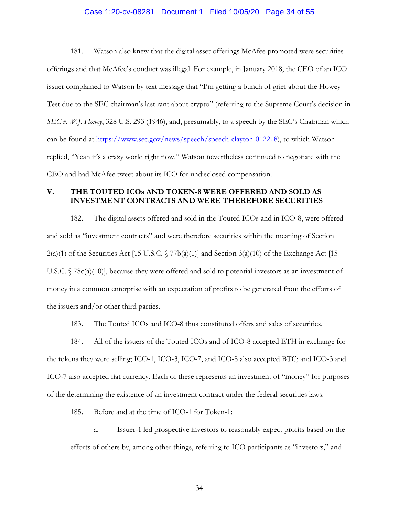#### Case 1:20-cv-08281 Document 1 Filed 10/05/20 Page 34 of 55

181. Watson also knew that the digital asset offerings McAfee promoted were securities offerings and that McAfee's conduct was illegal. For example, in January 2018, the CEO of an ICO issuer complained to Watson by text message that "I'm getting a bunch of grief about the Howey Test due to the SEC chairman's last rant about crypto" (referring to the Supreme Court's decision in *SEC v. W.J. Howey*, 328 U.S. 293 (1946), and, presumably, to a speech by the SEC's Chairman which can be found at https://www.sec.gov/news/speech/speech-clayton-012218), to which Watson replied, "Yeah it's a crazy world right now." Watson nevertheless continued to negotiate with the CEO and had McAfee tweet about its ICO for undisclosed compensation.

### **V. THE TOUTED ICOs AND TOKEN-8 WERE OFFERED AND SOLD AS INVESTMENT CONTRACTS AND WERE THEREFORE SECURITIES**

182. The digital assets offered and sold in the Touted ICOs and in ICO-8, were offered and sold as "investment contracts" and were therefore securities within the meaning of Section  $2(a)(1)$  of the Securities Act [15 U.S.C. § 77b(a)(1)] and Section 3(a)(10) of the Exchange Act [15 U.S.C.  $\sqrt{78c(a)(10)}$ , because they were offered and sold to potential investors as an investment of money in a common enterprise with an expectation of profits to be generated from the efforts of the issuers and/or other third parties.

183. The Touted ICOs and ICO-8 thus constituted offers and sales of securities.

184. All of the issuers of the Touted ICOs and of ICO-8 accepted ETH in exchange for the tokens they were selling; ICO-1, ICO-3, ICO-7, and ICO-8 also accepted BTC; and ICO-3 and ICO-7 also accepted fiat currency. Each of these represents an investment of "money" for purposes of the determining the existence of an investment contract under the federal securities laws.

185. Before and at the time of ICO-1 for Token-1:

a. Issuer-1 led prospective investors to reasonably expect profits based on the efforts of others by, among other things, referring to ICO participants as "investors," and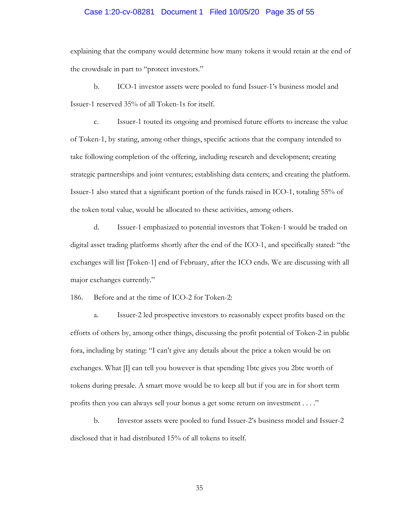### Case 1:20-cv-08281 Document 1 Filed 10/05/20 Page 35 of 55

explaining that the company would determine how many tokens it would retain at the end of the crowdsale in part to "protect investors."

b. ICO-1 investor assets were pooled to fund Issuer-1's business model and Issuer-1 reserved 35% of all Token-1s for itself.

c. Issuer-1 touted its ongoing and promised future efforts to increase the value of Token-1, by stating, among other things, specific actions that the company intended to take following completion of the offering, including research and development; creating strategic partnerships and joint ventures; establishing data centers; and creating the platform. Issuer-1 also stated that a significant portion of the funds raised in ICO-1, totaling 55% of the token total value, would be allocated to these activities, among others.

d. Issuer-1 emphasized to potential investors that Token-1 would be traded on digital asset trading platforms shortly after the end of the ICO-1, and specifically stated: "the exchanges will list [Token-1] end of February, after the ICO ends. We are discussing with all major exchanges currently."

186. Before and at the time of ICO-2 for Token-2:

a. Issuer-2 led prospective investors to reasonably expect profits based on the efforts of others by, among other things, discussing the profit potential of Token-2 in public fora, including by stating: "I can't give any details about the price a token would be on exchanges. What  $\Pi$  can tell you however is that spending 1btc gives you 2btc worth of tokens during presale. A smart move would be to keep all but if you are in for short term profits then you can always sell your bonus a get some return on investment . . . ."

b. Investor assets were pooled to fund Issuer-2's business model and Issuer-2 disclosed that it had distributed 15% of all tokens to itself.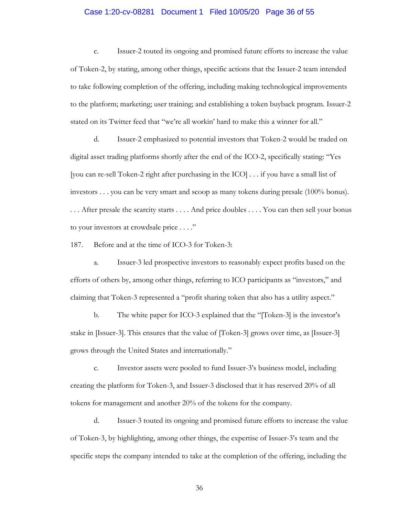### Case 1:20-cv-08281 Document 1 Filed 10/05/20 Page 36 of 55

c. Issuer-2 touted its ongoing and promised future efforts to increase the value of Token-2, by stating, among other things, specific actions that the Issuer-2 team intended to take following completion of the offering, including making technological improvements to the platform; marketing; user training; and establishing a token buyback program. Issuer-2 stated on its Twitter feed that "we're all workin' hard to make this a winner for all."

d. Issuer-2 emphasized to potential investors that Token-2 would be traded on digital asset trading platforms shortly after the end of the ICO-2, specifically stating: "Yes [you can re-sell Token-2 right after purchasing in the ICO] . . . if you have a small list of investors . . . you can be very smart and scoop as many tokens during presale (100% bonus). . . . After presale the scarcity starts . . . . And price doubles . . . . You can then sell your bonus to your investors at crowdsale price . . . ."

187. Before and at the time of ICO-3 for Token-3:

a. Issuer-3 led prospective investors to reasonably expect profits based on the efforts of others by, among other things, referring to ICO participants as "investors," and claiming that Token-3 represented a "profit sharing token that also has a utility aspect."

b. The white paper for ICO-3 explained that the "[Token-3] is the investor's stake in [Issuer-3]. This ensures that the value of [Token-3] grows over time, as [Issuer-3] grows through the United States and internationally."

c. Investor assets were pooled to fund Issuer-3's business model, including creating the platform for Token-3, and Issuer-3 disclosed that it has reserved 20% of all tokens for management and another 20% of the tokens for the company.

d. Issuer-3 touted its ongoing and promised future efforts to increase the value of Token-3, by highlighting, among other things, the expertise of Issuer-3's team and the specific steps the company intended to take at the completion of the offering, including the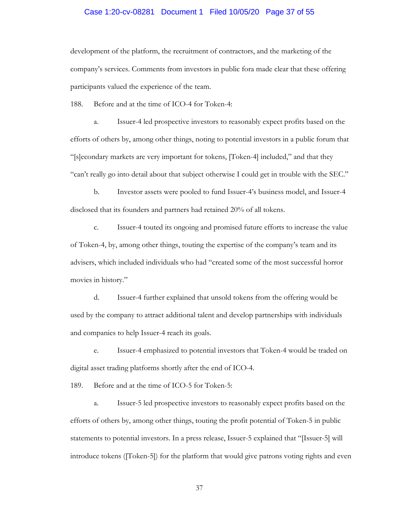# Case 1:20-cv-08281 Document 1 Filed 10/05/20 Page 37 of 55

development of the platform, the recruitment of contractors, and the marketing of the company's services. Comments from investors in public fora made clear that these offering participants valued the experience of the team.

188. Before and at the time of ICO-4 for Token-4:

a. Issuer-4 led prospective investors to reasonably expect profits based on the efforts of others by, among other things, noting to potential investors in a public forum that "[s]econdary markets are very important for tokens, [Token-4] included," and that they "can't really go into detail about that subject otherwise I could get in trouble with the SEC."

b. Investor assets were pooled to fund Issuer-4's business model, and Issuer-4 disclosed that its founders and partners had retained 20% of all tokens.

c. Issuer-4 touted its ongoing and promised future efforts to increase the value of Token-4, by, among other things, touting the expertise of the company's team and its advisers, which included individuals who had "created some of the most successful horror movies in history."

d. Issuer-4 further explained that unsold tokens from the offering would be used by the company to attract additional talent and develop partnerships with individuals and companies to help Issuer-4 reach its goals.

e. Issuer-4 emphasized to potential investors that Token-4 would be traded on digital asset trading platforms shortly after the end of ICO-4.

189. Before and at the time of ICO-5 for Token-5:

a. Issuer-5 led prospective investors to reasonably expect profits based on the efforts of others by, among other things, touting the profit potential of Token-5 in public statements to potential investors. In a press release, Issuer-5 explained that "[Issuer-5] will introduce tokens ([Token-5]) for the platform that would give patrons voting rights and even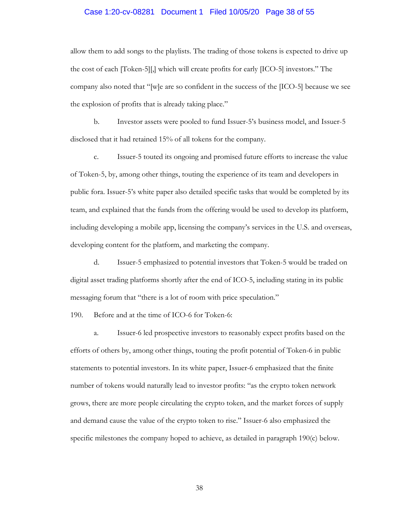#### Case 1:20-cv-08281 Document 1 Filed 10/05/20 Page 38 of 55

allow them to add songs to the playlists. The trading of those tokens is expected to drive up the cost of each [Token-5][,] which will create profits for early [ICO-5] investors." The company also noted that "[w]e are so confident in the success of the [ICO-5] because we see the explosion of profits that is already taking place."

b. Investor assets were pooled to fund Issuer-5's business model, and Issuer-5 disclosed that it had retained 15% of all tokens for the company.

c. Issuer-5 touted its ongoing and promised future efforts to increase the value of Token-5, by, among other things, touting the experience of its team and developers in public fora. Issuer-5's white paper also detailed specific tasks that would be completed by its team, and explained that the funds from the offering would be used to develop its platform, including developing a mobile app, licensing the company's services in the U.S. and overseas, developing content for the platform, and marketing the company.

d. Issuer-5 emphasized to potential investors that Token-5 would be traded on digital asset trading platforms shortly after the end of ICO-5, including stating in its public messaging forum that "there is a lot of room with price speculation."

190. Before and at the time of ICO-6 for Token-6:

a. Issuer-6 led prospective investors to reasonably expect profits based on the efforts of others by, among other things, touting the profit potential of Token-6 in public statements to potential investors. In its white paper, Issuer-6 emphasized that the finite number of tokens would naturally lead to investor profits: "as the crypto token network grows, there are more people circulating the crypto token, and the market forces of supply and demand cause the value of the crypto token to rise." Issuer-6 also emphasized the specific milestones the company hoped to achieve, as detailed in paragraph 190(c) below.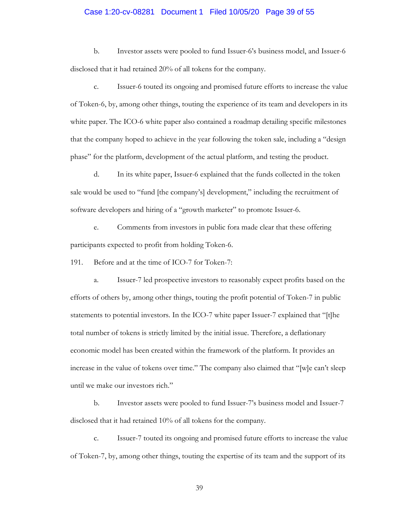### Case 1:20-cv-08281 Document 1 Filed 10/05/20 Page 39 of 55

b. Investor assets were pooled to fund Issuer-6's business model, and Issuer-6 disclosed that it had retained 20% of all tokens for the company.

c. Issuer-6 touted its ongoing and promised future efforts to increase the value of Token-6, by, among other things, touting the experience of its team and developers in its white paper. The ICO-6 white paper also contained a roadmap detailing specific milestones that the company hoped to achieve in the year following the token sale, including a "design phase" for the platform, development of the actual platform, and testing the product.

d. In its white paper, Issuer-6 explained that the funds collected in the token sale would be used to "fund [the company's] development," including the recruitment of software developers and hiring of a "growth marketer" to promote Issuer-6.

e. Comments from investors in public fora made clear that these offering participants expected to profit from holding Token-6.

191. Before and at the time of ICO-7 for Token-7:

a. Issuer-7 led prospective investors to reasonably expect profits based on the efforts of others by, among other things, touting the profit potential of Token-7 in public statements to potential investors. In the ICO-7 white paper Issuer-7 explained that "[t]he total number of tokens is strictly limited by the initial issue. Therefore, a deflationary economic model has been created within the framework of the platform. It provides an increase in the value of tokens over time." The company also claimed that "[w]e can't sleep until we make our investors rich."

b. Investor assets were pooled to fund Issuer-7's business model and Issuer-7 disclosed that it had retained 10% of all tokens for the company.

c. Issuer-7 touted its ongoing and promised future efforts to increase the value of Token-7, by, among other things, touting the expertise of its team and the support of its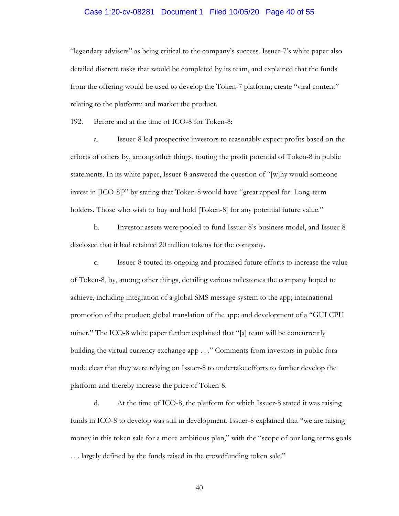### Case 1:20-cv-08281 Document 1 Filed 10/05/20 Page 40 of 55

"legendary advisers" as being critical to the company's success. Issuer-7's white paper also detailed discrete tasks that would be completed by its team, and explained that the funds from the offering would be used to develop the Token-7 platform; create "viral content" relating to the platform; and market the product.

192. Before and at the time of ICO-8 for Token-8:

a. Issuer-8 led prospective investors to reasonably expect profits based on the efforts of others by, among other things, touting the profit potential of Token-8 in public statements. In its white paper, Issuer-8 answered the question of "[w]hy would someone invest in [ICO-8]?" by stating that Token-8 would have "great appeal for: Long-term holders. Those who wish to buy and hold [Token-8] for any potential future value."

b. Investor assets were pooled to fund Issuer-8's business model, and Issuer-8 disclosed that it had retained 20 million tokens for the company.

c. Issuer-8 touted its ongoing and promised future efforts to increase the value of Token-8, by, among other things, detailing various milestones the company hoped to achieve, including integration of a global SMS message system to the app; international promotion of the product; global translation of the app; and development of a "GUI CPU miner." The ICO-8 white paper further explained that "[a] team will be concurrently building the virtual currency exchange app . . ." Comments from investors in public fora made clear that they were relying on Issuer-8 to undertake efforts to further develop the platform and thereby increase the price of Token-8.

d. At the time of ICO-8, the platform for which Issuer-8 stated it was raising funds in ICO-8 to develop was still in development. Issuer-8 explained that "we are raising money in this token sale for a more ambitious plan," with the "scope of our long terms goals . . . largely defined by the funds raised in the crowdfunding token sale."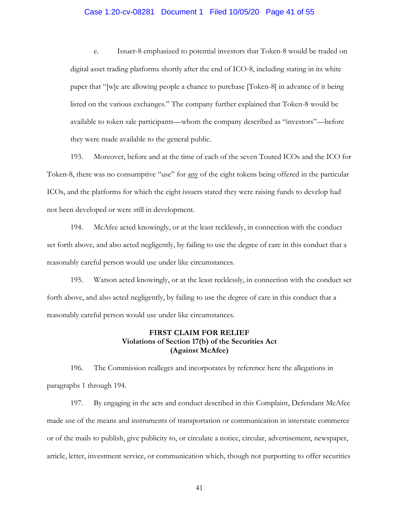#### Case 1:20-cv-08281 Document 1 Filed 10/05/20 Page 41 of 55

e. Issuer-8 emphasized to potential investors that Token-8 would be traded on digital asset trading platforms shortly after the end of ICO-8, including stating in its white paper that "[w]e are allowing people a chance to purchase [Token-8] in advance of it being listed on the various exchanges." The company further explained that Token-8 would be available to token sale participants—whom the company described as "investors"—before they were made available to the general public.

193. Moreover, before and at the time of each of the seven Touted ICOs and the ICO for Token-8, there was no consumptive "use" for <u>any</u> of the eight tokens being offered in the particular ICOs, and the platforms for which the eight issuers stated they were raising funds to develop had not been developed or were still in development.

194. McAfee acted knowingly, or at the least recklessly, in connection with the conduct set forth above, and also acted negligently, by failing to use the degree of care in this conduct that a reasonably careful person would use under like circumstances.

195. Watson acted knowingly, or at the least recklessly, in connection with the conduct set forth above, and also acted negligently, by failing to use the degree of care in this conduct that a reasonably careful person would use under like circumstances.

## **FIRST CLAIM FOR RELIEF Violations of Section 17(b) of the Securities Act (Against McAfee)**

196. The Commission realleges and incorporates by reference here the allegations in paragraphs 1 through 194.

197. By engaging in the acts and conduct described in this Complaint, Defendant McAfee made use of the means and instruments of transportation or communication in interstate commerce or of the mails to publish, give publicity to, or circulate a notice, circular, advertisement, newspaper, article, letter, investment service, or communication which, though not purporting to offer securities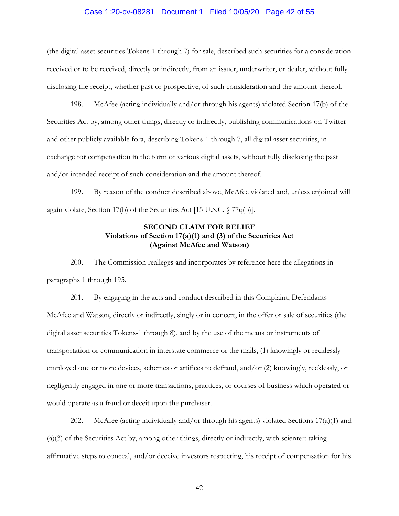#### Case 1:20-cv-08281 Document 1 Filed 10/05/20 Page 42 of 55

(the digital asset securities Tokens-1 through 7) for sale, described such securities for a consideration received or to be received, directly or indirectly, from an issuer, underwriter, or dealer, without fully disclosing the receipt, whether past or prospective, of such consideration and the amount thereof.

198. McAfee (acting individually and/or through his agents) violated Section 17(b) of the Securities Act by, among other things, directly or indirectly, publishing communications on Twitter and other publicly available fora, describing Tokens-1 through 7, all digital asset securities, in exchange for compensation in the form of various digital assets, without fully disclosing the past and/or intended receipt of such consideration and the amount thereof.

199. By reason of the conduct described above, McAfee violated and, unless enjoined will again violate, Section 17(b) of the Securities Act [15 U.S.C. § 77q(b)].

## **SECOND CLAIM FOR RELIEF Violations of Section 17(a)(1) and (3) of the Securities Act (Against McAfee and Watson)**

200. The Commission realleges and incorporates by reference here the allegations in paragraphs 1 through 195.

201. By engaging in the acts and conduct described in this Complaint, Defendants McAfee and Watson, directly or indirectly, singly or in concert, in the offer or sale of securities (the digital asset securities Tokens-1 through 8), and by the use of the means or instruments of transportation or communication in interstate commerce or the mails, (1) knowingly or recklessly employed one or more devices, schemes or artifices to defraud, and/or (2) knowingly, recklessly, or negligently engaged in one or more transactions, practices, or courses of business which operated or would operate as a fraud or deceit upon the purchaser.

202. McAfee (acting individually and/or through his agents) violated Sections  $17(a)(1)$  and (a)(3) of the Securities Act by, among other things, directly or indirectly, with scienter: taking affirmative steps to conceal, and/or deceive investors respecting, his receipt of compensation for his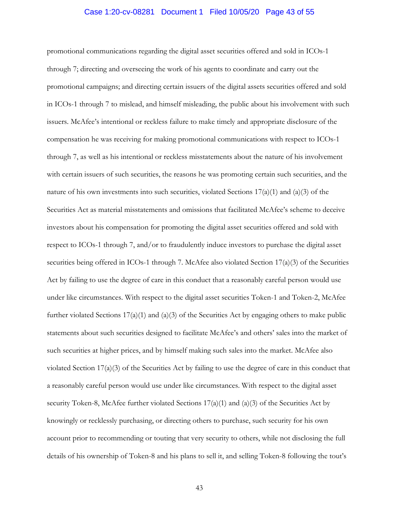### Case 1:20-cv-08281 Document 1 Filed 10/05/20 Page 43 of 55

promotional communications regarding the digital asset securities offered and sold in ICOs-1 through 7; directing and overseeing the work of his agents to coordinate and carry out the promotional campaigns; and directing certain issuers of the digital assets securities offered and sold in ICOs-1 through 7 to mislead, and himself misleading, the public about his involvement with such issuers. McAfee's intentional or reckless failure to make timely and appropriate disclosure of the compensation he was receiving for making promotional communications with respect to ICOs-1 through 7, as well as his intentional or reckless misstatements about the nature of his involvement with certain issuers of such securities, the reasons he was promoting certain such securities, and the nature of his own investments into such securities, violated Sections  $17(a)(1)$  and  $(a)(3)$  of the Securities Act as material misstatements and omissions that facilitated McAfee's scheme to deceive investors about his compensation for promoting the digital asset securities offered and sold with respect to ICOs-1 through 7, and/or to fraudulently induce investors to purchase the digital asset securities being offered in ICOs-1 through 7. McAfee also violated Section 17(a)(3) of the Securities Act by failing to use the degree of care in this conduct that a reasonably careful person would use under like circumstances. With respect to the digital asset securities Token-1 and Token-2, McAfee further violated Sections  $17(a)(1)$  and  $(a)(3)$  of the Securities Act by engaging others to make public statements about such securities designed to facilitate McAfee's and others' sales into the market of such securities at higher prices, and by himself making such sales into the market. McAfee also violated Section 17(a)(3) of the Securities Act by failing to use the degree of care in this conduct that a reasonably careful person would use under like circumstances. With respect to the digital asset security Token-8, McAfee further violated Sections  $17(a)(1)$  and  $(a)(3)$  of the Securities Act by knowingly or recklessly purchasing, or directing others to purchase, such security for his own account prior to recommending or touting that very security to others, while not disclosing the full details of his ownership of Token-8 and his plans to sell it, and selling Token-8 following the tout's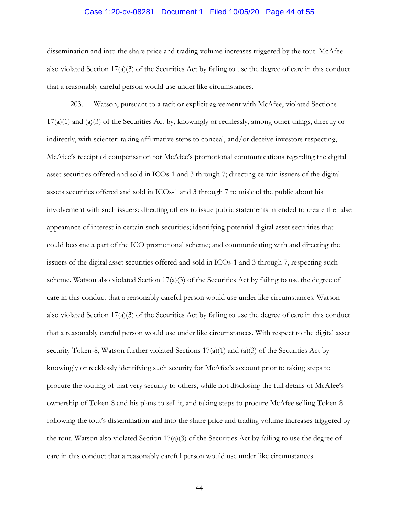#### Case 1:20-cv-08281 Document 1 Filed 10/05/20 Page 44 of 55

dissemination and into the share price and trading volume increases triggered by the tout. McAfee also violated Section 17(a)(3) of the Securities Act by failing to use the degree of care in this conduct that a reasonably careful person would use under like circumstances.

203. Watson, pursuant to a tacit or explicit agreement with McAfee, violated Sections 17(a)(1) and (a)(3) of the Securities Act by, knowingly or recklessly, among other things, directly or indirectly, with scienter: taking affirmative steps to conceal, and/or deceive investors respecting, McAfee's receipt of compensation for McAfee's promotional communications regarding the digital asset securities offered and sold in ICOs-1 and 3 through 7; directing certain issuers of the digital assets securities offered and sold in ICOs-1 and 3 through 7 to mislead the public about his involvement with such issuers; directing others to issue public statements intended to create the false appearance of interest in certain such securities; identifying potential digital asset securities that could become a part of the ICO promotional scheme; and communicating with and directing the issuers of the digital asset securities offered and sold in ICOs-1 and 3 through 7, respecting such scheme. Watson also violated Section  $17(a)(3)$  of the Securities Act by failing to use the degree of care in this conduct that a reasonably careful person would use under like circumstances. Watson also violated Section 17(a)(3) of the Securities Act by failing to use the degree of care in this conduct that a reasonably careful person would use under like circumstances. With respect to the digital asset security Token-8, Watson further violated Sections  $17(a)(1)$  and  $(a)(3)$  of the Securities Act by knowingly or recklessly identifying such security for McAfee's account prior to taking steps to procure the touting of that very security to others, while not disclosing the full details of McAfee's ownership of Token-8 and his plans to sell it, and taking steps to procure McAfee selling Token-8 following the tout's dissemination and into the share price and trading volume increases triggered by the tout. Watson also violated Section  $17(a)(3)$  of the Securities Act by failing to use the degree of care in this conduct that a reasonably careful person would use under like circumstances.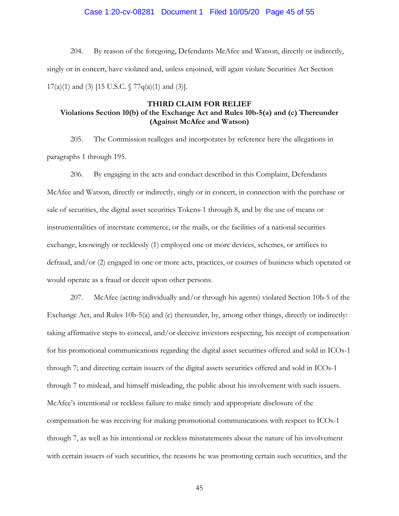#### Case 1:20-cv-08281 Document 1 Filed 10/05/20 Page 45 of 55

204. By reason of the foregoing, Defendants McAfee and Watson, directly or indirectly, singly or in concert, have violated and, unless enjoined, will again violate Securities Act Section 17(a)(1) and (3) [15 U.S.C.  $\sqrt{77q(a)(1)}$  and (3)].

### **THIRD CLAIM FOR RELIEF Violations Section 10(b) of the Exchange Act and Rules 10b-5(a) and (c) Thereunder (Against McAfee and Watson)**

205. The Commission realleges and incorporates by reference here the allegations in paragraphs 1 through 195.

206. By engaging in the acts and conduct described in this Complaint, Defendants McAfee and Watson, directly or indirectly, singly or in concert, in connection with the purchase or sale of securities, the digital asset securities Tokens-1 through 8, and by the use of means or instrumentalities of interstate commerce, or the mails, or the facilities of a national securities exchange, knowingly or recklessly (1) employed one or more devices, schemes, or artifices to defraud, and/or (2) engaged in one or more acts, practices, or courses of business which operated or would operate as a fraud or deceit upon other persons.

207. McAfee (acting individually and/or through his agents) violated Section 10b-5 of the Exchange Act, and Rules 10b-5(a) and (c) thereunder, by, among other things, directly or indirectly: taking affirmative steps to conceal, and/or deceive investors respecting, his receipt of compensation for his promotional communications regarding the digital asset securities offered and sold in ICOs-1 through 7; and directing certain issuers of the digital assets securities offered and sold in ICOs-1 through 7 to mislead, and himself misleading, the public about his involvement with such issuers. McAfee's intentional or reckless failure to make timely and appropriate disclosure of the compensation he was receiving for making promotional communications with respect to ICOs-1 through 7, as well as his intentional or reckless misstatements about the nature of his involvement with certain issuers of such securities, the reasons he was promoting certain such securities, and the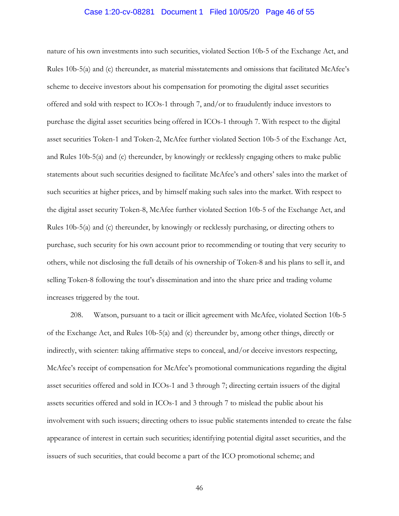#### Case 1:20-cv-08281 Document 1 Filed 10/05/20 Page 46 of 55

nature of his own investments into such securities, violated Section 10b-5 of the Exchange Act, and Rules 10b-5(a) and (c) thereunder, as material misstatements and omissions that facilitated McAfee's scheme to deceive investors about his compensation for promoting the digital asset securities offered and sold with respect to ICOs-1 through 7, and/or to fraudulently induce investors to purchase the digital asset securities being offered in ICOs-1 through 7. With respect to the digital asset securities Token-1 and Token-2, McAfee further violated Section 10b-5 of the Exchange Act, and Rules 10b-5(a) and (c) thereunder, by knowingly or recklessly engaging others to make public statements about such securities designed to facilitate McAfee's and others' sales into the market of such securities at higher prices, and by himself making such sales into the market. With respect to the digital asset security Token-8, McAfee further violated Section 10b-5 of the Exchange Act, and Rules 10b-5(a) and (c) thereunder, by knowingly or recklessly purchasing, or directing others to purchase, such security for his own account prior to recommending or touting that very security to others, while not disclosing the full details of his ownership of Token-8 and his plans to sell it, and selling Token-8 following the tout's dissemination and into the share price and trading volume increases triggered by the tout.

208. Watson, pursuant to a tacit or illicit agreement with McAfee, violated Section 10b-5 of the Exchange Act, and Rules 10b-5(a) and (c) thereunder by, among other things, directly or indirectly, with scienter: taking affirmative steps to conceal, and/or deceive investors respecting, McAfee's receipt of compensation for McAfee's promotional communications regarding the digital asset securities offered and sold in ICOs-1 and 3 through 7; directing certain issuers of the digital assets securities offered and sold in ICOs-1 and 3 through 7 to mislead the public about his involvement with such issuers; directing others to issue public statements intended to create the false appearance of interest in certain such securities; identifying potential digital asset securities, and the issuers of such securities, that could become a part of the ICO promotional scheme; and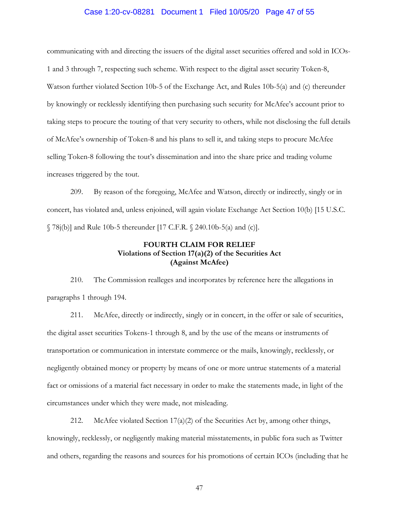### Case 1:20-cv-08281 Document 1 Filed 10/05/20 Page 47 of 55

communicating with and directing the issuers of the digital asset securities offered and sold in ICOs-1 and 3 through 7, respecting such scheme. With respect to the digital asset security Token-8, Watson further violated Section 10b-5 of the Exchange Act, and Rules 10b-5(a) and (c) thereunder by knowingly or recklessly identifying then purchasing such security for McAfee's account prior to taking steps to procure the touting of that very security to others, while not disclosing the full details of McAfee's ownership of Token-8 and his plans to sell it, and taking steps to procure McAfee selling Token-8 following the tout's dissemination and into the share price and trading volume increases triggered by the tout.

209. By reason of the foregoing, McAfee and Watson, directly or indirectly, singly or in concert, has violated and, unless enjoined, will again violate Exchange Act Section 10(b) [15 U.S.C. § 78j(b)] and Rule 10b-5 thereunder [17 C.F.R. § 240.10b-5(a) and (c)].

# **FOURTH CLAIM FOR RELIEF Violations of Section 17(a)(2) of the Securities Act (Against McAfee)**

210. The Commission realleges and incorporates by reference here the allegations in paragraphs 1 through 194.

211. McAfee, directly or indirectly, singly or in concert, in the offer or sale of securities, the digital asset securities Tokens-1 through 8, and by the use of the means or instruments of transportation or communication in interstate commerce or the mails, knowingly, recklessly, or negligently obtained money or property by means of one or more untrue statements of a material fact or omissions of a material fact necessary in order to make the statements made, in light of the circumstances under which they were made, not misleading.

212. McAfee violated Section  $17(a)(2)$  of the Securities Act by, among other things, knowingly, recklessly, or negligently making material misstatements, in public fora such as Twitter and others, regarding the reasons and sources for his promotions of certain ICOs (including that he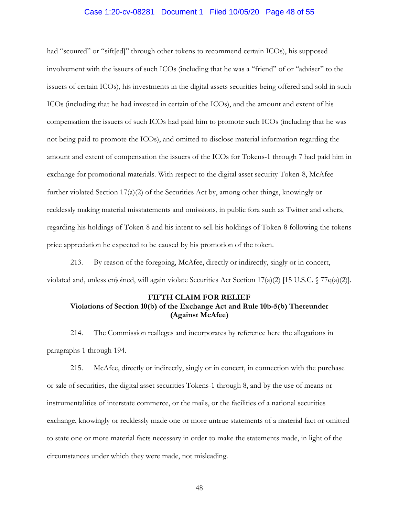#### Case 1:20-cv-08281 Document 1 Filed 10/05/20 Page 48 of 55

had "scoured" or "sift[ed]" through other tokens to recommend certain ICOs), his supposed involvement with the issuers of such ICOs (including that he was a "friend" of or "adviser" to the issuers of certain ICOs), his investments in the digital assets securities being offered and sold in such ICOs (including that he had invested in certain of the ICOs), and the amount and extent of his compensation the issuers of such ICOs had paid him to promote such ICOs (including that he was not being paid to promote the ICOs), and omitted to disclose material information regarding the amount and extent of compensation the issuers of the ICOs for Tokens-1 through 7 had paid him in exchange for promotional materials. With respect to the digital asset security Token-8, McAfee further violated Section 17(a)(2) of the Securities Act by, among other things, knowingly or recklessly making material misstatements and omissions, in public fora such as Twitter and others, regarding his holdings of Token-8 and his intent to sell his holdings of Token-8 following the tokens price appreciation he expected to be caused by his promotion of the token.

213. By reason of the foregoing, McAfee, directly or indirectly, singly or in concert, violated and, unless enjoined, will again violate Securities Act Section  $17(a)(2)$  [15 U.S.C. § 77q(a)(2)].

#### **FIFTH CLAIM FOR RELIEF**

### **Violations of Section 10(b) of the Exchange Act and Rule 10b-5(b) Thereunder (Against McAfee)**

214. The Commission realleges and incorporates by reference here the allegations in paragraphs 1 through 194.

215. McAfee, directly or indirectly, singly or in concert, in connection with the purchase or sale of securities, the digital asset securities Tokens-1 through 8, and by the use of means or instrumentalities of interstate commerce, or the mails, or the facilities of a national securities exchange, knowingly or recklessly made one or more untrue statements of a material fact or omitted to state one or more material facts necessary in order to make the statements made, in light of the circumstances under which they were made, not misleading.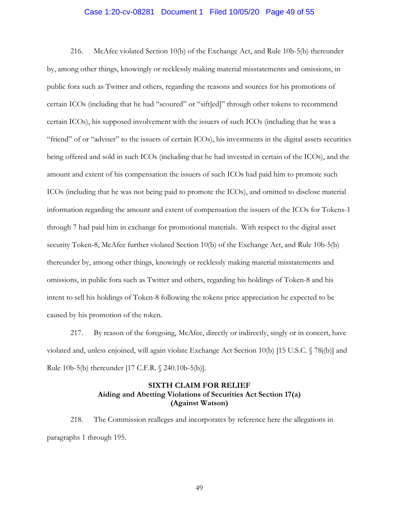### Case 1:20-cv-08281 Document 1 Filed 10/05/20 Page 49 of 55

216. McAfee violated Section 10(b) of the Exchange Act, and Rule 10b-5(b) thereunder by, among other things, knowingly or recklessly making material misstatements and omissions, in public fora such as Twitter and others, regarding the reasons and sources for his promotions of certain ICOs (including that he had "scoured" or "sift[ed]" through other tokens to recommend certain ICOs), his supposed involvement with the issuers of such ICOs (including that he was a "friend" of or "adviser" to the issuers of certain ICOs), his investments in the digital assets securities being offered and sold in such ICOs (including that he had invested in certain of the ICOs), and the amount and extent of his compensation the issuers of such ICOs had paid him to promote such ICOs (including that he was not being paid to promote the ICOs), and omitted to disclose material information regarding the amount and extent of compensation the issuers of the ICOs for Tokens-1 through 7 had paid him in exchange for promotional materials. With respect to the digital asset security Token-8, McAfee further violated Section 10(b) of the Exchange Act, and Rule 10b-5(b) thereunder by, among other things, knowingly or recklessly making material misstatements and omissions, in public fora such as Twitter and others, regarding his holdings of Token-8 and his intent to sell his holdings of Token-8 following the tokens price appreciation he expected to be caused by his promotion of the token.

217. By reason of the foregoing, McAfee, directly or indirectly, singly or in concert, have violated and, unless enjoined, will again violate Exchange Act Section 10(b) [15 U.S.C. § 78j(b)] and Rule 10b-5(b) thereunder [17 C.F.R. § 240.10b-5(b)].

### **SIXTH CLAIM FOR RELIEF Aiding and Abetting Violations of Securities Act Section 17(a) (Against Watson)**

218. The Commission realleges and incorporates by reference here the allegations in paragraphs 1 through 195.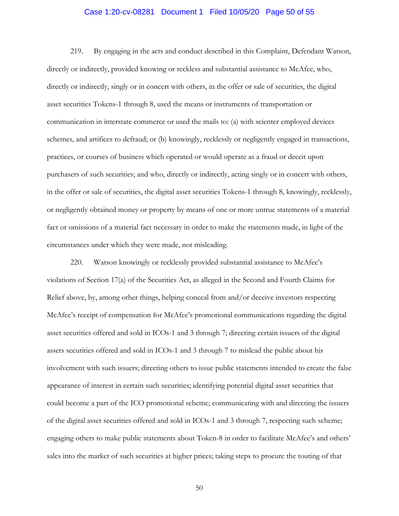### Case 1:20-cv-08281 Document 1 Filed 10/05/20 Page 50 of 55

219. By engaging in the acts and conduct described in this Complaint, Defendant Watson, directly or indirectly, provided knowing or reckless and substantial assistance to McAfee, who, directly or indirectly, singly or in concert with others, in the offer or sale of securities, the digital asset securities Tokens-1 through 8, used the means or instruments of transportation or communication in interstate commerce or used the mails to: (a) with scienter employed devices schemes, and artifices to defraud; or (b) knowingly, recklessly or negligently engaged in transactions, practices, or courses of business which operated or would operate as a fraud or deceit upon purchasers of such securities; and who, directly or indirectly, acting singly or in concert with others, in the offer or sale of securities, the digital asset securities Tokens-1 through 8, knowingly, recklessly, or negligently obtained money or property by means of one or more untrue statements of a material fact or omissions of a material fact necessary in order to make the statements made, in light of the circumstances under which they were made, not misleading.

220. Watson knowingly or recklessly provided substantial assistance to McAfee's violations of Section 17(a) of the Securities Act, as alleged in the Second and Fourth Claims for Relief above, by, among other things, helping conceal from and/or deceive investors respecting McAfee's receipt of compensation for McAfee's promotional communications regarding the digital asset securities offered and sold in ICOs-1 and 3 through 7; directing certain issuers of the digital assets securities offered and sold in ICOs-1 and 3 through 7 to mislead the public about his involvement with such issuers; directing others to issue public statements intended to create the false appearance of interest in certain such securities; identifying potential digital asset securities that could become a part of the ICO promotional scheme; communicating with and directing the issuers of the digital asset securities offered and sold in ICOs-1 and 3 through 7, respecting such scheme; engaging others to make public statements about Token-8 in order to facilitate McAfee's and others' sales into the market of such securities at higher prices; taking steps to procure the touting of that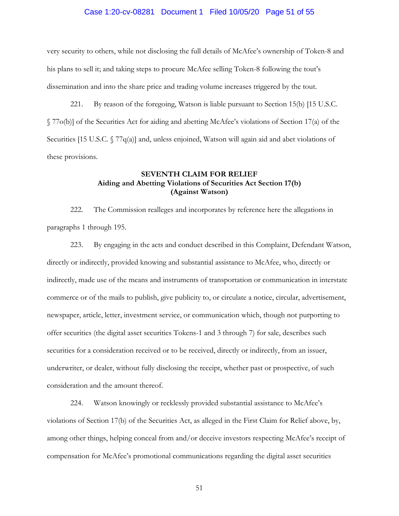#### Case 1:20-cv-08281 Document 1 Filed 10/05/20 Page 51 of 55

very security to others, while not disclosing the full details of McAfee's ownership of Token-8 and his plans to sell it; and taking steps to procure McAfee selling Token-8 following the tout's dissemination and into the share price and trading volume increases triggered by the tout.

221. By reason of the foregoing, Watson is liable pursuant to Section 15(b) [15 U.S.C. § 77o(b)] of the Securities Act for aiding and abetting McAfee's violations of Section 17(a) of the Securities [15 U.S.C. § 77q(a)] and, unless enjoined, Watson will again aid and abet violations of these provisions.

### **SEVENTH CLAIM FOR RELIEF Aiding and Abetting Violations of Securities Act Section 17(b) (Against Watson)**

222. The Commission realleges and incorporates by reference here the allegations in paragraphs 1 through 195.

223. By engaging in the acts and conduct described in this Complaint, Defendant Watson, directly or indirectly, provided knowing and substantial assistance to McAfee, who, directly or indirectly, made use of the means and instruments of transportation or communication in interstate commerce or of the mails to publish, give publicity to, or circulate a notice, circular, advertisement, newspaper, article, letter, investment service, or communication which, though not purporting to offer securities (the digital asset securities Tokens-1 and 3 through 7) for sale, describes such securities for a consideration received or to be received, directly or indirectly, from an issuer, underwriter, or dealer, without fully disclosing the receipt, whether past or prospective, of such consideration and the amount thereof.

224. Watson knowingly or recklessly provided substantial assistance to McAfee's violations of Section 17(b) of the Securities Act, as alleged in the First Claim for Relief above, by, among other things, helping conceal from and/or deceive investors respecting McAfee's receipt of compensation for McAfee's promotional communications regarding the digital asset securities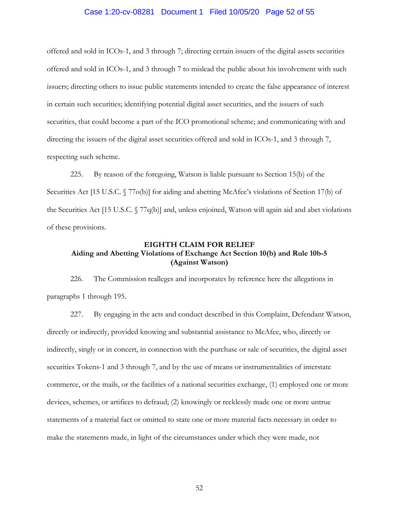#### Case 1:20-cv-08281 Document 1 Filed 10/05/20 Page 52 of 55

offered and sold in ICOs-1, and 3 through 7; directing certain issuers of the digital assets securities offered and sold in ICOs-1, and 3 through 7 to mislead the public about his involvement with such issuers; directing others to issue public statements intended to create the false appearance of interest in certain such securities; identifying potential digital asset securities, and the issuers of such securities, that could become a part of the ICO promotional scheme; and communicating with and directing the issuers of the digital asset securities offered and sold in ICOs-1, and 3 through 7, respecting such scheme.

225. By reason of the foregoing, Watson is liable pursuant to Section 15(b) of the Securities Act [15 U.S.C. § 77o(b)] for aiding and abetting McAfee's violations of Section 17(b) of the Securities Act [15 U.S.C. § 77q(b)] and, unless enjoined, Watson will again aid and abet violations of these provisions.

## **EIGHTH CLAIM FOR RELIEF Aiding and Abetting Violations of Exchange Act Section 10(b) and Rule 10b-5 (Against Watson)**

226. The Commission realleges and incorporates by reference here the allegations in paragraphs 1 through 195.

227. By engaging in the acts and conduct described in this Complaint, Defendant Watson, directly or indirectly, provided knowing and substantial assistance to McAfee, who, directly or indirectly, singly or in concert, in connection with the purchase or sale of securities, the digital asset securities Tokens-1 and 3 through 7, and by the use of means or instrumentalities of interstate commerce, or the mails, or the facilities of a national securities exchange, (1) employed one or more devices, schemes, or artifices to defraud; (2) knowingly or recklessly made one or more untrue statements of a material fact or omitted to state one or more material facts necessary in order to make the statements made, in light of the circumstances under which they were made, not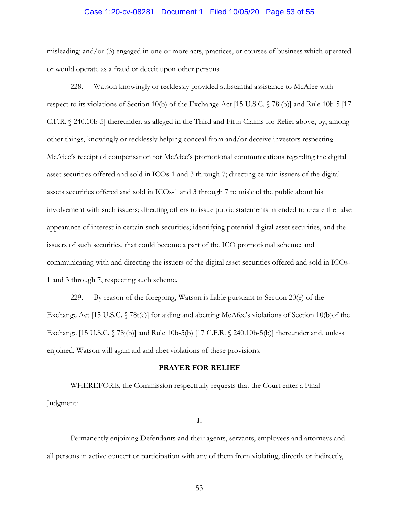#### Case 1:20-cv-08281 Document 1 Filed 10/05/20 Page 53 of 55

misleading; and/or (3) engaged in one or more acts, practices, or courses of business which operated or would operate as a fraud or deceit upon other persons.

228. Watson knowingly or recklessly provided substantial assistance to McAfee with respect to its violations of Section 10(b) of the Exchange Act [15 U.S.C. § 78j(b)] and Rule 10b-5 [17 C.F.R. § 240.10b-5] thereunder, as alleged in the Third and Fifth Claims for Relief above, by, among other things, knowingly or recklessly helping conceal from and/or deceive investors respecting McAfee's receipt of compensation for McAfee's promotional communications regarding the digital asset securities offered and sold in ICOs-1 and 3 through 7; directing certain issuers of the digital assets securities offered and sold in ICOs-1 and 3 through 7 to mislead the public about his involvement with such issuers; directing others to issue public statements intended to create the false appearance of interest in certain such securities; identifying potential digital asset securities, and the issuers of such securities, that could become a part of the ICO promotional scheme; and communicating with and directing the issuers of the digital asset securities offered and sold in ICOs-1 and 3 through 7, respecting such scheme.

229. By reason of the foregoing, Watson is liable pursuant to Section 20(e) of the Exchange Act [15 U.S.C. § 78t(e)] for aiding and abetting McAfee's violations of Section 10(b)of the Exchange [15 U.S.C. § 78j(b)] and Rule 10b-5(b) [17 C.F.R. § 240.10b-5(b)] thereunder and, unless enjoined, Watson will again aid and abet violations of these provisions.

#### **PRAYER FOR RELIEF**

WHEREFORE, the Commission respectfully requests that the Court enter a Final Judgment:

**I.** 

Permanently enjoining Defendants and their agents, servants, employees and attorneys and all persons in active concert or participation with any of them from violating, directly or indirectly,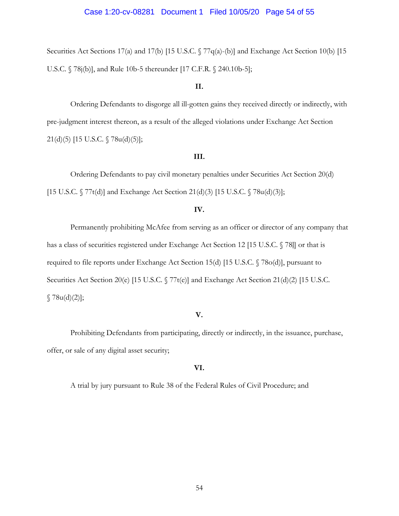Securities Act Sections 17(a) and 17(b) [15 U.S.C. § 77q(a)-(b)] and Exchange Act Section 10(b) [15 U.S.C. § 78j(b)], and Rule 10b-5 thereunder [17 C.F.R. § 240.10b-5];

### **II.**

Ordering Defendants to disgorge all ill-gotten gains they received directly or indirectly, with pre-judgment interest thereon, as a result of the alleged violations under Exchange Act Section 21(d)(5) [15 U.S.C. § 78u(d)(5)];

#### **III.**

Ordering Defendants to pay civil monetary penalties under Securities Act Section 20(d) [15 U.S.C. § 77t(d)] and Exchange Act Section 21(d)(3) [15 U.S.C. § 78u(d)(3)];

### **IV.**

Permanently prohibiting McAfee from serving as an officer or director of any company that has a class of securities registered under Exchange Act Section 12 [15 U.S.C. § 78]] or that is required to file reports under Exchange Act Section 15(d) [15 U.S.C. § 78o(d)], pursuant to Securities Act Section 20(e) [15 U.S.C. § 77t(e)] and Exchange Act Section 21(d)(2) [15 U.S.C.  $$78u(d)(2)$ ;

#### **V.**

Prohibiting Defendants from participating, directly or indirectly, in the issuance, purchase, offer, or sale of any digital asset security;

## **VI.**

A trial by jury pursuant to Rule 38 of the Federal Rules of Civil Procedure; and